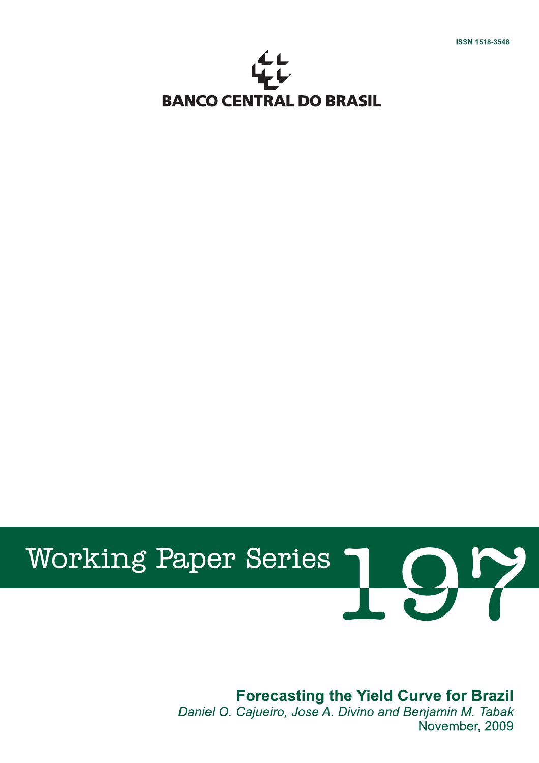I



# **Working Paper Series**

## **Forecasting the Yield Curve for Brazil**

Daniel O. Cajueiro, Jose A. Divino and Benjamin M. Tabak November, 2009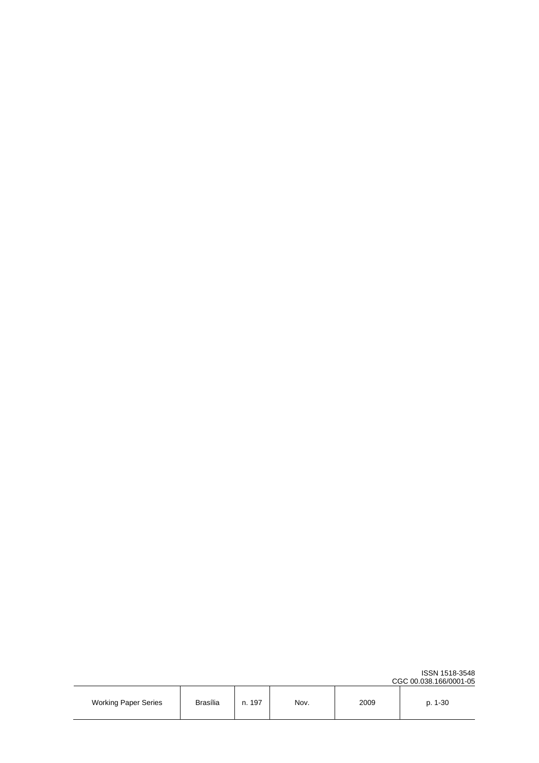|                             |                 |           |      |      | CGC 00.038.166/0001-0 |
|-----------------------------|-----------------|-----------|------|------|-----------------------|
| <b>Working Paper Series</b> | <b>Brasília</b> | 197<br>n. | Nov. | 2009 | p. 1-30               |

CGC 00.038.166/0001-05

ISSN 1518-3548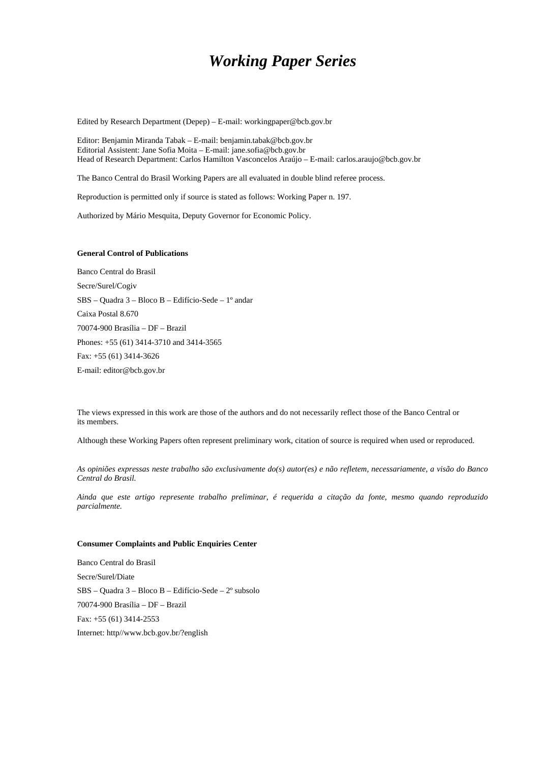## *Working Paper Series*

Edited by Research Department (Depep) – E-mail: workingpaper@bcb.gov.br

Editor: Benjamin Miranda Tabak – E-mail: benjamin.tabak@bcb.gov.br Editorial Assistent: Jane Sofia Moita – E-mail: jane.sofia@bcb.gov.br Head of Research Department: Carlos Hamilton Vasconcelos Araújo – E-mail: carlos.araujo@bcb.gov.br

The Banco Central do Brasil Working Papers are all evaluated in double blind referee process.

Reproduction is permitted only if source is stated as follows: Working Paper n. 197.

Authorized by Mário Mesquita, Deputy Governor for Economic Policy.

#### **General Control of Publications**

Banco Central do Brasil Secre/Surel/Cogiv SBS – Quadra 3 – Bloco B – Edifício-Sede – 1º andar Caixa Postal 8.670 70074-900 Brasília – DF – Brazil Phones: +55 (61) 3414-3710 and 3414-3565 Fax: +55 (61) 3414-3626 E-mail: editor@bcb.gov.br

The views expressed in this work are those of the authors and do not necessarily reflect those of the Banco Central or its members.

Although these Working Papers often represent preliminary work, citation of source is required when used or reproduced.

*As opiniões expressas neste trabalho são exclusivamente do(s) autor(es) e não refletem, necessariamente, a visão do Banco Central do Brasil.* 

*Ainda que este artigo represente trabalho preliminar, é requerida a citação da fonte, mesmo quando reproduzido parcialmente.* 

#### **Consumer Complaints and Public Enquiries Center**

Banco Central do Brasil Secre/Surel/Diate SBS – Quadra 3 – Bloco B – Edifício-Sede – 2º subsolo 70074-900 Brasília – DF – Brazil Fax: +55 (61) 3414-2553 Internet: http//www.bcb.gov.br/?english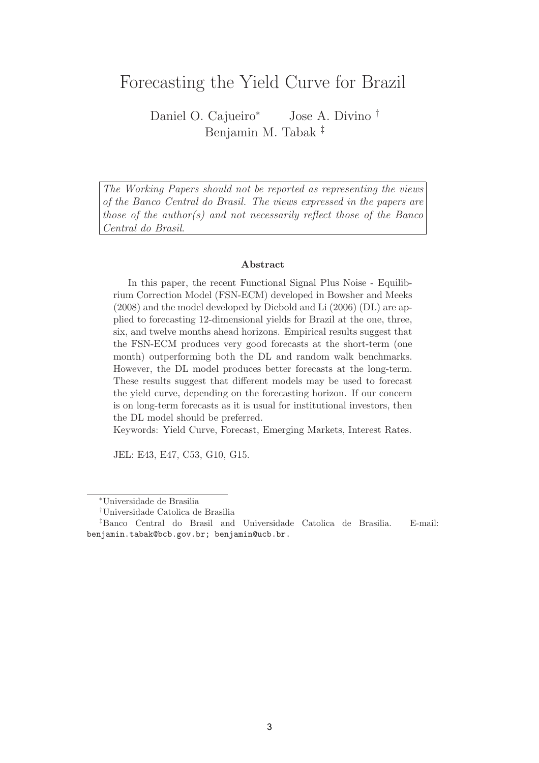## Forecasting the Yield Curve for Brazil

Daniel O. Cajueiro<sup>∗</sup> Jose A. Divino † Benjamin M. Tabak ‡

The Working Papers should not be reported as representing the views of the Banco Central do Brasil. The views expressed in the papers are those of the author(s) and not necessarily reflect those of the Banco Central do Brasil.

#### **Abstract**

In this paper, the recent Functional Signal Plus Noise - Equilibrium Correction Model (FSN-ECM) developed in Bowsher and Meeks (2008) and the model developed by Diebold and Li (2006) (DL) are applied to forecasting 12-dimensional yields for Brazil at the one, three, six, and twelve months ahead horizons. Empirical results suggest that the FSN-ECM produces very good forecasts at the short-term (one month) outperforming both the DL and random walk benchmarks. However, the DL model produces better forecasts at the long-term. These results suggest that different models may be used to forecast the yield curve, depending on the forecasting horizon. If our concern is on long-term forecasts as it is usual for institutional investors, then the DL model should be preferred.

Keywords: Yield Curve, Forecast, Emerging Markets, Interest Rates.

JEL: E43, E47, C53, G10, G15.

<sup>∗</sup>Universidade de Brasilia

<sup>†</sup>Universidade Catolica de Brasilia

<sup>‡</sup>Banco Central do Brasil and Universidade Catolica de Brasilia. E-mail: benjamin.tabak@bcb.gov.br; benjamin@ucb.br.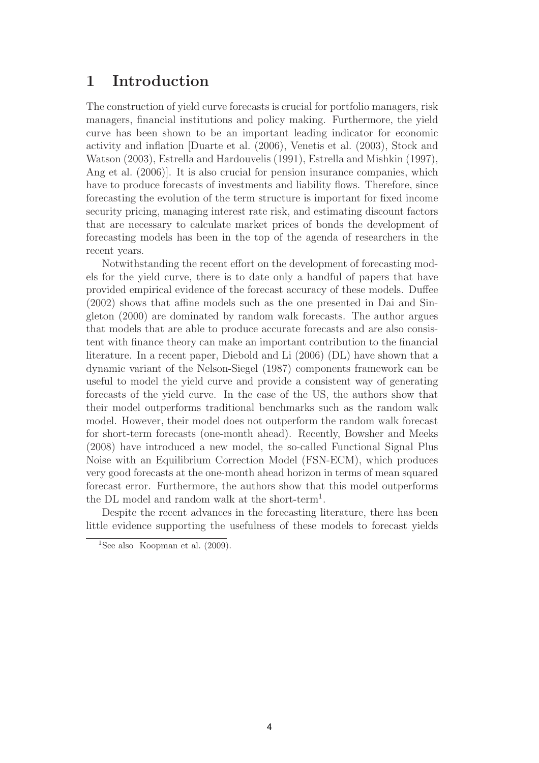## **1 Introduction**

The construction of yield curve forecasts is crucial for portfolio managers, risk managers, financial institutions and policy making. Furthermore, the yield curve has been shown to be an important leading indicator for economic activity and inflation [Duarte et al. (2006), Venetis et al. (2003), Stock and Watson (2003), Estrella and Hardouvelis (1991), Estrella and Mishkin (1997), Ang et al. (2006)]. It is also crucial for pension insurance companies, which have to produce forecasts of investments and liability flows. Therefore, since forecasting the evolution of the term structure is important for fixed income security pricing, managing interest rate risk, and estimating discount factors that are necessary to calculate market prices of bonds the development of forecasting models has been in the top of the agenda of researchers in the recent years.

Notwithstanding the recent effort on the development of forecasting models for the yield curve, there is to date only a handful of papers that have provided empirical evidence of the forecast accuracy of these models. Duffee (2002) shows that affine models such as the one presented in Dai and Singleton (2000) are dominated by random walk forecasts. The author argues that models that are able to produce accurate forecasts and are also consistent with finance theory can make an important contribution to the financial literature. In a recent paper, Diebold and Li (2006) (DL) have shown that a dynamic variant of the Nelson-Siegel (1987) components framework can be useful to model the yield curve and provide a consistent way of generating forecasts of the yield curve. In the case of the US, the authors show that their model outperforms traditional benchmarks such as the random walk model. However, their model does not outperform the random walk forecast for short-term forecasts (one-month ahead). Recently, Bowsher and Meeks (2008) have introduced a new model, the so-called Functional Signal Plus Noise with an Equilibrium Correction Model (FSN-ECM), which produces very good forecasts at the one-month ahead horizon in terms of mean squared forecast error. Furthermore, the authors show that this model outperforms the DL model and random walk at the short-term<sup>1</sup>.

Despite the recent advances in the forecasting literature, there has been little evidence supporting the usefulness of these models to forecast yields

<sup>&</sup>lt;sup>1</sup>See also Koopman et al.  $(2009)$ .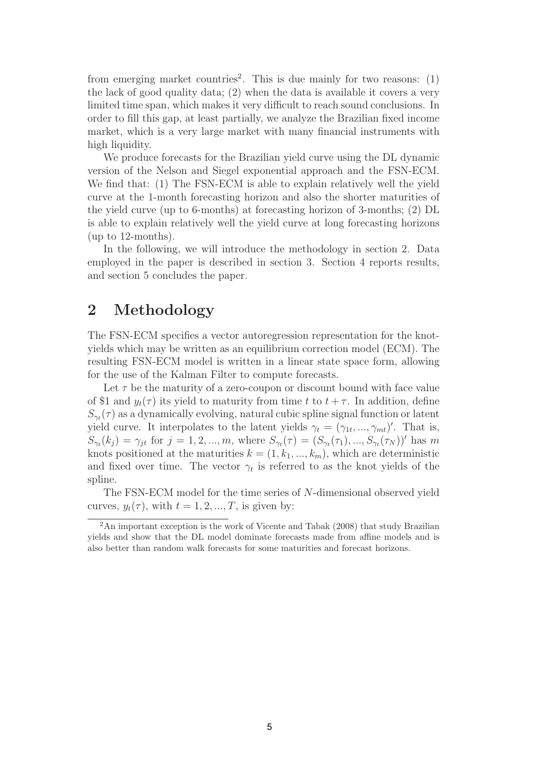from emerging market countries<sup>2</sup>. This is due mainly for two reasons:  $(1)$ the lack of good quality data; (2) when the data is available it covers a very limited time span, which makes it very difficult to reach sound conclusions. In order to fill this gap, at least partially, we analyze the Brazilian fixed income market, which is a very large market with many financial instruments with high liquidity.

We produce forecasts for the Brazilian yield curve using the DL dynamic version of the Nelson and Siegel exponential approach and the FSN-ECM. We find that: (1) The FSN-ECM is able to explain relatively well the yield curve at the 1-month forecasting horizon and also the shorter maturities of the yield curve (up to 6-months) at forecasting horizon of 3-months; (2) DL is able to explain relatively well the yield curve at long forecasting horizons (up to 12-months).

In the following, we will introduce the methodology in section 2. Data employed in the paper is described in section 3. Section 4 reports results, and section 5 concludes the paper.

### **2 Methodology**

The FSN-ECM specifies a vector autoregression representation for the knotyields which may be written as an equilibrium correction model (ECM). The resulting FSN-ECM model is written in a linear state space form, allowing for the use of the Kalman Filter to compute forecasts.

Let  $\tau$  be the maturity of a zero-coupon or discount bound with face value of \$1 and  $y_t(\tau)$  its yield to maturity from time t to  $t + \tau$ . In addition, define  $S_{\gamma_t}(\tau)$  as a dynamically evolving, natural cubic spline signal function or latent yield curve. It interpolates to the latent yields  $\gamma_t = (\gamma_{1t}, ..., \gamma_{mt})'$ . That is,  $S_{\gamma_t}(k_j) = \gamma_{jt}$  for  $j = 1, 2, ..., m$ , where  $S_{\gamma_t}(\tau) = (S_{\gamma_t}(\tau_1), ..., S_{\gamma_t}(\tau_N))'$  has m knots positioned at the maturities  $k = (1, k_1, ..., k_m)$ , which are deterministic and fixed over time. The vector  $\gamma_t$  is referred to as the knot yields of the spline.

The FSN-ECM model for the time series of N-dimensional observed yield curves,  $y_t(\tau)$ , with  $t = 1, 2, ..., T$ , is given by:

<sup>&</sup>lt;sup>2</sup>An important exception is the work of Vicente and Tabak (2008) that study Brazilian yields and show that the DL model dominate forecasts made from affine models and is also better than random walk forecasts for some maturities and forecast horizons.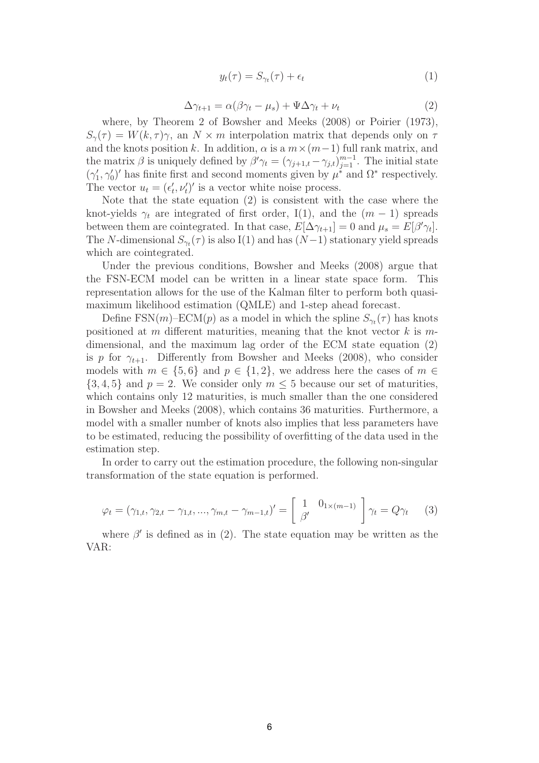$$
y_t(\tau) = S_{\gamma_t}(\tau) + \epsilon_t \tag{1}
$$

$$
\Delta \gamma_{t+1} = \alpha (\beta \gamma_t - \mu_s) + \Psi \Delta \gamma_t + \nu_t \tag{2}
$$

where, by Theorem 2 of Bowsher and Meeks (2008) or Poirier (1973),  $S_{\gamma}(\tau) = W(k, \tau)\gamma$ , an  $N \times m$  interpolation matrix that depends only on  $\tau$ and the knots position k. In addition,  $\alpha$  is a  $m \times (m-1)$  full rank matrix, and the matrix  $\beta$  is uniquely defined by  $\beta' \gamma_t = (\gamma_{j+1,t} - \gamma_{j,t})_{j=1}^{m-1}$ . The initial state  $(\gamma'_1, \gamma'_0)'$  has finite first and second moments given by  $\mu^*$  and  $\Omega^*$  respectively. The vector  $u_t = (\epsilon'_t, \nu'_t)'$  is a vector white noise process.

Note that the state equation (2) is consistent with the case where the knot-yields  $\gamma_t$  are integrated of first order, I(1), and the  $(m-1)$  spreads between them are cointegrated. In that case,  $E[\Delta \gamma_{t+1}] = 0$  and  $\mu_s = E[\beta' \gamma_t]$ . The N-dimensional  $S_{\gamma_t}(\tau)$  is also I(1) and has  $(N-1)$  stationary yield spreads which are cointegrated.

Under the previous conditions, Bowsher and Meeks (2008) argue that the FSN-ECM model can be written in a linear state space form. This representation allows for the use of the Kalman filter to perform both quasimaximum likelihood estimation (QMLE) and 1-step ahead forecast.

Define FSN(m)–ECM(p) as a model in which the spline  $S_{\gamma_t}(\tau)$  has knots positioned at m different maturities, meaning that the knot vector  $k$  is mdimensional, and the maximum lag order of the ECM state equation (2) is p for  $\gamma_{t+1}$ . Differently from Bowsher and Meeks (2008), who consider models with  $m \in \{5,6\}$  and  $p \in \{1,2\}$ , we address here the cases of  $m \in$  $\{3, 4, 5\}$  and  $p = 2$ . We consider only  $m \leq 5$  because our set of maturities, which contains only 12 maturities, is much smaller than the one considered in Bowsher and Meeks (2008), which contains 36 maturities. Furthermore, a model with a smaller number of knots also implies that less parameters have to be estimated, reducing the possibility of overfitting of the data used in the estimation step.

In order to carry out the estimation procedure, the following non-singular transformation of the state equation is performed.

$$
\varphi_t = (\gamma_{1,t}, \gamma_{2,t} - \gamma_{1,t}, ..., \gamma_{m,t} - \gamma_{m-1,t})' = \begin{bmatrix} 1 & 0_{1 \times (m-1)} \\ \beta' & 0 \end{bmatrix} \gamma_t = Q \gamma_t \tag{3}
$$

where  $\beta'$  is defined as in (2). The state equation may be written as the VAR: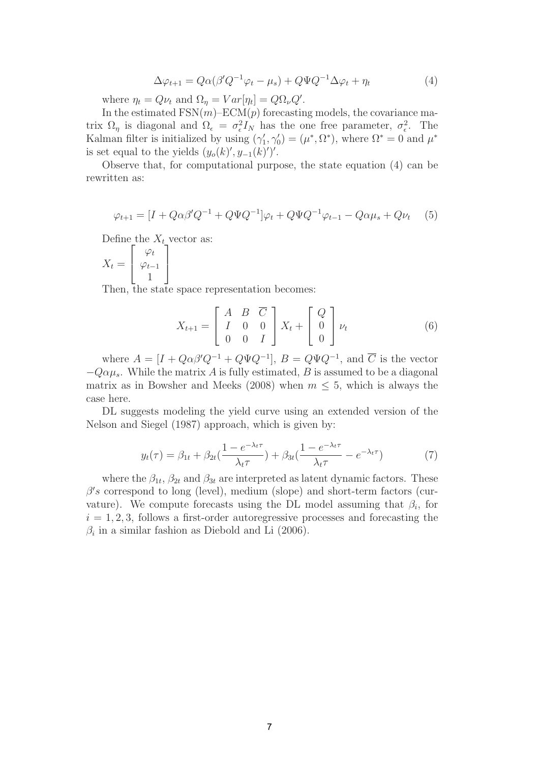$$
\Delta \varphi_{t+1} = Q\alpha (\beta' Q^{-1} \varphi_t - \mu_s) + Q\Psi Q^{-1} \Delta \varphi_t + \eta_t \tag{4}
$$

where  $\eta_t = Q \nu_t$  and  $\Omega_\eta = Var[\eta_t] = Q \Omega_\nu Q'.$ 

In the estimated  $FSN(m)-ECM(p)$  forecasting models, the covariance matrix  $\Omega_n$  is diagonal and  $\Omega_{\epsilon} = \sigma_{\epsilon}^2 I_N$  has the one free parameter,  $\sigma_{\epsilon}^2$ . The Kalman filter is initialized by using  $(\gamma'_1, \gamma'_0) = (\mu^*, \Omega^*)$ , where  $\Omega^* = 0$  and  $\mu^*$ is set equal to the yields  $(y_o(k)', y_{-1}(k)')'.$ 

Observe that, for computational purpose, the state equation (4) can be rewritten as:

$$
\varphi_{t+1} = [I + Q\alpha\beta'Q^{-1} + Q\Psi Q^{-1}]\varphi_t + Q\Psi Q^{-1}\varphi_{t-1} - Q\alpha\mu_s + Q\nu_t \quad (5)
$$

Define the  $X_t$  vector as:

$$
X_t = \begin{bmatrix} \varphi_t \\ \varphi_{t-1} \\ 1 \end{bmatrix}
$$

Then, the state space representation becomes:

$$
X_{t+1} = \begin{bmatrix} A & B & \overline{C} \\ I & 0 & 0 \\ 0 & 0 & I \end{bmatrix} X_t + \begin{bmatrix} Q \\ 0 \\ 0 \end{bmatrix} \nu_t
$$
 (6)

where  $A = [I + Q\alpha\beta'Q^{-1} + Q\Psi Q^{-1}], B = Q\Psi Q^{-1}$ , and  $\overline{C}$  is the vector  $-Q\alpha\mu_s$ . While the matrix A is fully estimated, B is assumed to be a diagonal matrix as in Bowsher and Meeks (2008) when  $m \leq 5$ , which is always the case here.

DL suggests modeling the yield curve using an extended version of the Nelson and Siegel (1987) approach, which is given by:

$$
y_t(\tau) = \beta_{1t} + \beta_{2t} \left(\frac{1 - e^{-\lambda_t \tau}}{\lambda_t \tau}\right) + \beta_{3t} \left(\frac{1 - e^{-\lambda_t \tau}}{\lambda_t \tau} - e^{-\lambda_t \tau}\right) \tag{7}
$$

where the  $\beta_{1t}$ ,  $\beta_{2t}$  and  $\beta_{3t}$  are interpreted as latent dynamic factors. These  $\beta's$  correspond to long (level), medium (slope) and short-term factors (curvature). We compute forecasts using the DL model assuming that  $\beta_i$ , for  $i = 1, 2, 3$ , follows a first-order autoregressive processes and forecasting the  $\beta_i$  in a similar fashion as Diebold and Li (2006).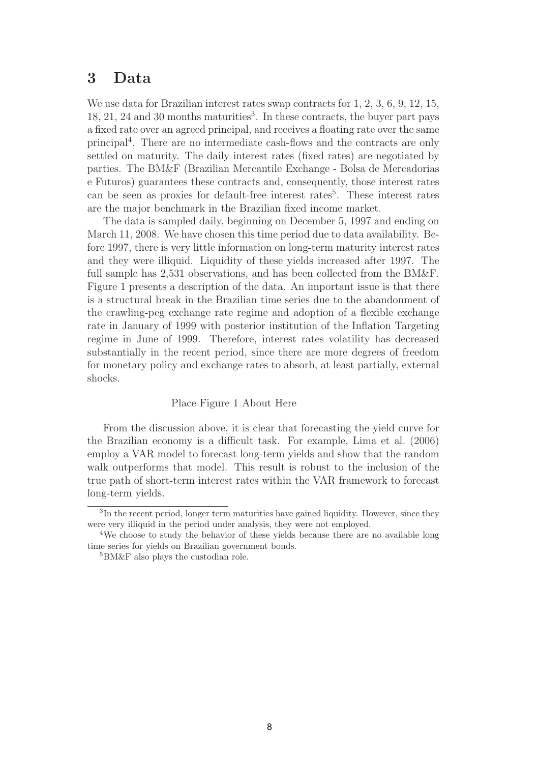## **3 Data**

We use data for Brazilian interest rates swap contracts for 1, 2, 3, 6, 9, 12, 15,  $18, 21, 24$  and 30 months maturities<sup>3</sup>. In these contracts, the buyer part pays a fixed rate over an agreed principal, and receives a floating rate over the same principal<sup>4</sup>. There are no intermediate cash-flows and the contracts are only settled on maturity. The daily interest rates (fixed rates) are negotiated by parties. The BM&F (Brazilian Mercantile Exchange - Bolsa de Mercadorias e Futuros) guarantees these contracts and, consequently, those interest rates can be seen as proxies for default-free interest rates<sup>5</sup>. These interest rates are the major benchmark in the Brazilian fixed income market.

The data is sampled daily, beginning on December 5, 1997 and ending on March 11, 2008. We have chosen this time period due to data availability. Before 1997, there is very little information on long-term maturity interest rates and they were illiquid. Liquidity of these yields increased after 1997. The full sample has 2,531 observations, and has been collected from the BM&F. Figure 1 presents a description of the data. An important issue is that there is a structural break in the Brazilian time series due to the abandonment of the crawling-peg exchange rate regime and adoption of a flexible exchange rate in January of 1999 with posterior institution of the Inflation Targeting regime in June of 1999. Therefore, interest rates volatility has decreased substantially in the recent period, since there are more degrees of freedom for monetary policy and exchange rates to absorb, at least partially, external shocks.

#### Place Figure 1 About Here

From the discussion above, it is clear that forecasting the yield curve for the Brazilian economy is a difficult task. For example, Lima et al. (2006) employ a VAR model to forecast long-term yields and show that the random walk outperforms that model. This result is robust to the inclusion of the true path of short-term interest rates within the VAR framework to forecast long-term yields.

<sup>&</sup>lt;sup>3</sup>In the recent period, longer term maturities have gained liquidity. However, since they were very illiquid in the period under analysis, they were not employed.

<sup>&</sup>lt;sup>4</sup>We choose to study the behavior of these yields because there are no available long time series for yields on Brazilian government bonds.

<sup>5</sup>BM&F also plays the custodian role.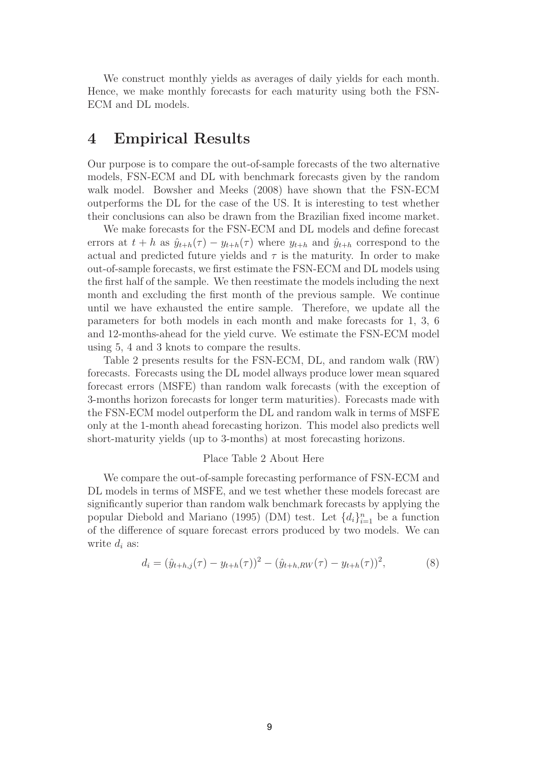We construct monthly yields as averages of daily yields for each month. Hence, we make monthly forecasts for each maturity using both the FSN-ECM and DL models.

## **4 Empirical Results**

Our purpose is to compare the out-of-sample forecasts of the two alternative models, FSN-ECM and DL with benchmark forecasts given by the random walk model. Bowsher and Meeks (2008) have shown that the FSN-ECM outperforms the DL for the case of the US. It is interesting to test whether their conclusions can also be drawn from the Brazilian fixed income market.

We make forecasts for the FSN-ECM and DL models and define forecast errors at  $t + h$  as  $\hat{y}_{t+h}(\tau) - y_{t+h}(\tau)$  where  $y_{t+h}$  and  $\hat{y}_{t+h}$  correspond to the actual and predicted future yields and  $\tau$  is the maturity. In order to make out-of-sample forecasts, we first estimate the FSN-ECM and DL models using the first half of the sample. We then reestimate the models including the next month and excluding the first month of the previous sample. We continue until we have exhausted the entire sample. Therefore, we update all the parameters for both models in each month and make forecasts for 1, 3, 6 and 12-months-ahead for the yield curve. We estimate the FSN-ECM model using 5, 4 and 3 knots to compare the results.

Table 2 presents results for the FSN-ECM, DL, and random walk (RW) forecasts. Forecasts using the DL model allways produce lower mean squared forecast errors (MSFE) than random walk forecasts (with the exception of 3-months horizon forecasts for longer term maturities). Forecasts made with the FSN-ECM model outperform the DL and random walk in terms of MSFE only at the 1-month ahead forecasting horizon. This model also predicts well short-maturity yields (up to 3-months) at most forecasting horizons.

#### Place Table 2 About Here

We compare the out-of-sample forecasting performance of FSN-ECM and DL models in terms of MSFE, and we test whether these models forecast are significantly superior than random walk benchmark forecasts by applying the popular Diebold and Mariano (1995) (DM) test. Let  $\{d_i\}_{i=1}^n$  be a function of the difference of square forecast errors produced by two models. We can write  $d_i$  as:

$$
d_i = (\hat{y}_{t+h,j}(\tau) - y_{t+h}(\tau))^2 - (\hat{y}_{t+h,RW}(\tau) - y_{t+h}(\tau))^2, \tag{8}
$$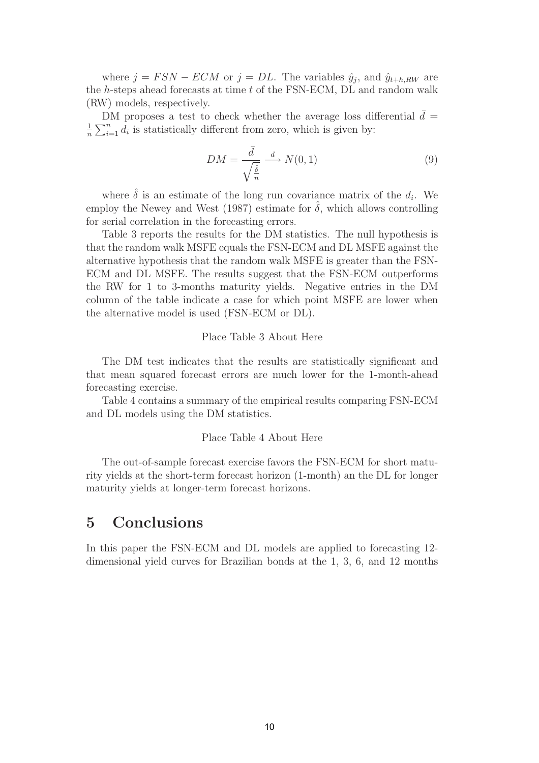where  $j = FSN - ECM$  or  $j = DL$ . The variables  $\hat{y}_j$ , and  $\hat{y}_{t+h,RW}$  are the h-steps ahead forecasts at time t of the FSN-ECM, DL and random walk (RW) models, respectively.

DM proposes a test to check whether the average loss differential  $\bar{d} =$  $\frac{1}{n}\sum_{i=1}^n d_i$  is statistically different from zero, which is given by:

$$
DM = \frac{\bar{d}}{\sqrt{\frac{\hat{\delta}}{n}}} \xrightarrow{d} N(0, 1) \tag{9}
$$

where  $\hat{\delta}$  is an estimate of the long run covariance matrix of the  $d_i$ . We employ the Newey and West (1987) estimate for  $\delta$ , which allows controlling for serial correlation in the forecasting errors.

Table 3 reports the results for the DM statistics. The null hypothesis is that the random walk MSFE equals the FSN-ECM and DL MSFE against the alternative hypothesis that the random walk MSFE is greater than the FSN-ECM and DL MSFE. The results suggest that the FSN-ECM outperforms the RW for 1 to 3-months maturity yields. Negative entries in the DM column of the table indicate a case for which point MSFE are lower when the alternative model is used (FSN-ECM or DL).

#### Place Table 3 About Here

The DM test indicates that the results are statistically significant and that mean squared forecast errors are much lower for the 1-month-ahead forecasting exercise.

Table 4 contains a summary of the empirical results comparing FSN-ECM and DL models using the DM statistics.

#### Place Table 4 About Here

The out-of-sample forecast exercise favors the FSN-ECM for short maturity yields at the short-term forecast horizon (1-month) an the DL for longer maturity yields at longer-term forecast horizons.

## **5 Conclusions**

In this paper the FSN-ECM and DL models are applied to forecasting 12 dimensional yield curves for Brazilian bonds at the 1, 3, 6, and 12 months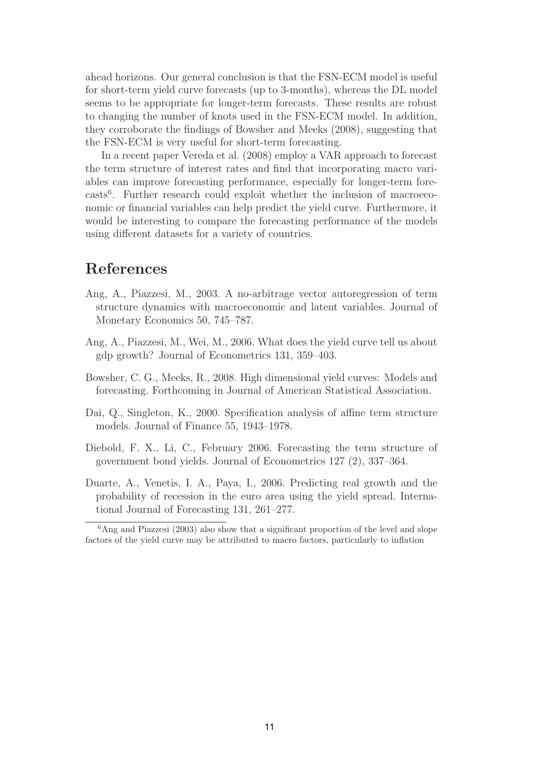ahead horizons. Our general conclusion is that the FSN-ECM model is useful for short-term yield curve forecasts (up to 3-months), whereas the DL model seems to be appropriate for longer-term forecasts. These results are robust to changing the number of knots used in the FSN-ECM model. In addition, they corroborate the findings of Bowsher and Meeks (2008), suggesting that the FSN-ECM is very useful for short-term forecasting.

In a recent paper Vereda et al. (2008) employ a VAR approach to forecast the term structure of interest rates and find that incorporating macro variables can improve forecasting performance, especially for longer-term forecasts6. Further research could exploit whether the inclusion of macroeconomic or financial variables can help predict the yield curve. Furthermore, it would be interesting to compare the forecasting performance of the models using different datasets for a variety of countries.

## **References**

- Ang, A., Piazzesi, M., 2003. A no-arbitrage vector autoregression of term structure dynamics with macroeconomic and latent variables. Journal of Monetary Economics 50, 745–787.
- Ang, A., Piazzesi, M., Wei, M., 2006. What does the yield curve tell us about gdp growth? Journal of Econometrics 131, 359–403.
- Bowsher, C. G., Meeks, R., 2008. High dimensional yield curves: Models and forecasting. Forthcoming in Journal of American Statistical Association.
- Dai, Q., Singleton, K., 2000. Specification analysis of affine term structure models. Journal of Finance 55, 1943–1978.
- Diebold, F. X., Li, C., February 2006. Forecasting the term structure of government bond yields. Journal of Econometrics 127 (2), 337–364.
- Duarte, A., Venetis, I. A., Paya, I., 2006. Predicting real growth and the probability of recession in the euro area using the yield spread. International Journal of Forecasting 131, 261–277.

 ${}^{6}$ Ang and Piazzesi (2003) also show that a significant proportion of the level and slope factors of the yield curve may be attributed to macro factors, particularly to inflation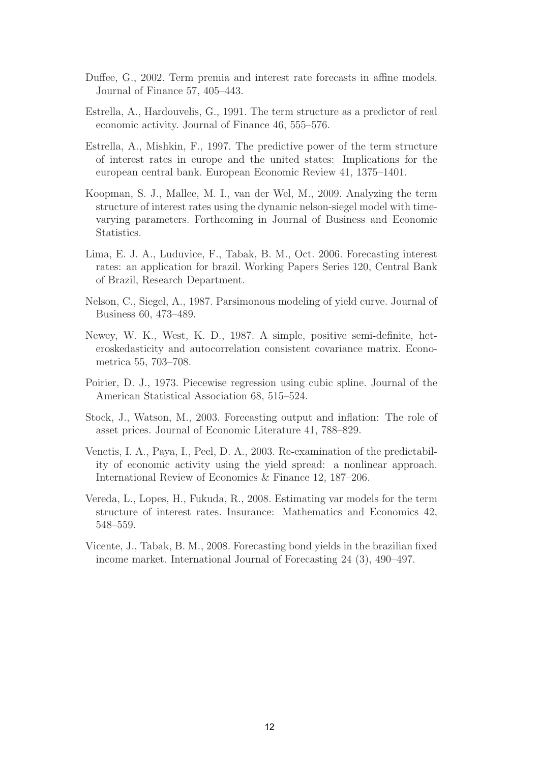- Duffee, G., 2002. Term premia and interest rate forecasts in affine models. Journal of Finance 57, 405–443.
- Estrella, A., Hardouvelis, G., 1991. The term structure as a predictor of real economic activity. Journal of Finance 46, 555–576.
- Estrella, A., Mishkin, F., 1997. The predictive power of the term structure of interest rates in europe and the united states: Implications for the european central bank. European Economic Review 41, 1375–1401.
- Koopman, S. J., Mallee, M. I., van der Wel, M., 2009. Analyzing the term structure of interest rates using the dynamic nelson-siegel model with timevarying parameters. Forthcoming in Journal of Business and Economic Statistics.
- Lima, E. J. A., Luduvice, F., Tabak, B. M., Oct. 2006. Forecasting interest rates: an application for brazil. Working Papers Series 120, Central Bank of Brazil, Research Department.
- Nelson, C., Siegel, A., 1987. Parsimonous modeling of yield curve. Journal of Business 60, 473–489.
- Newey, W. K., West, K. D., 1987. A simple, positive semi-definite, heteroskedasticity and autocorrelation consistent covariance matrix. Econometrica 55, 703–708.
- Poirier, D. J., 1973. Piecewise regression using cubic spline. Journal of the American Statistical Association 68, 515–524.
- Stock, J., Watson, M., 2003. Forecasting output and inflation: The role of asset prices. Journal of Economic Literature 41, 788–829.
- Venetis, I. A., Paya, I., Peel, D. A., 2003. Re-examination of the predictability of economic activity using the yield spread: a nonlinear approach. International Review of Economics & Finance 12, 187–206.
- Vereda, L., Lopes, H., Fukuda, R., 2008. Estimating var models for the term structure of interest rates. Insurance: Mathematics and Economics 42, 548–559.
- Vicente, J., Tabak, B. M., 2008. Forecasting bond yields in the brazilian fixed income market. International Journal of Forecasting 24 (3), 490–497.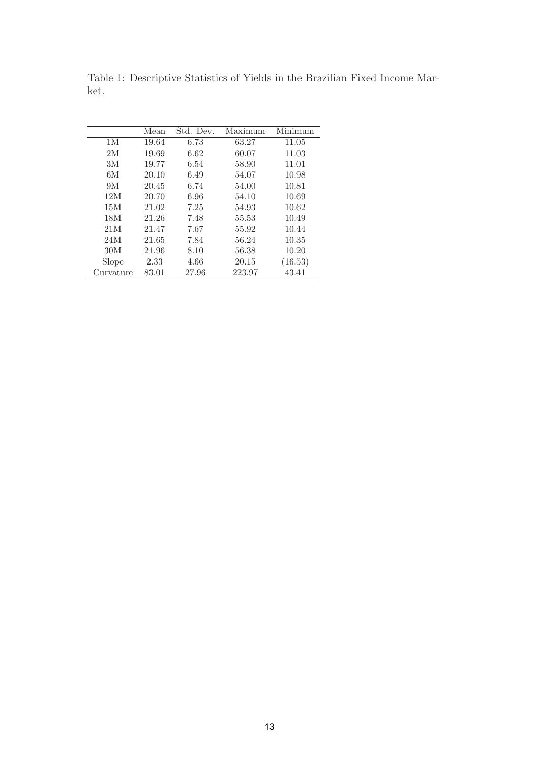|           | Mean  | Std. Dev. | Maximum | Minimum |
|-----------|-------|-----------|---------|---------|
| 1M        | 19.64 | 6.73      | 63.27   | 11.05   |
| 2M        | 19.69 | 6.62      | 60.07   | 11.03   |
| 3M        | 19.77 | 6.54      | 58.90   | 11.01   |
| 6M        | 20.10 | 6.49      | 54.07   | 10.98   |
| 9M        | 20.45 | 6.74      | 54.00   | 10.81   |
| 12M       | 20.70 | 6.96      | 54.10   | 10.69   |
| 15M       | 21.02 | 7.25      | 54.93   | 10.62   |
| 18M       | 21.26 | 7.48      | 55.53   | 10.49   |
| 21M       | 21.47 | 7.67      | 55.92   | 10.44   |
| 24M       | 21.65 | 7.84      | 56.24   | 10.35   |
| 30M       | 21.96 | 8.10      | 56.38   | 10.20   |
| Slope     | 2.33  | 4.66      | 20.15   | (16.53) |
| Curvature | 83.01 | 27.96     | 223.97  | 43.41   |

Table 1: Descriptive Statistics of Yields in the Brazilian Fixed Income Market.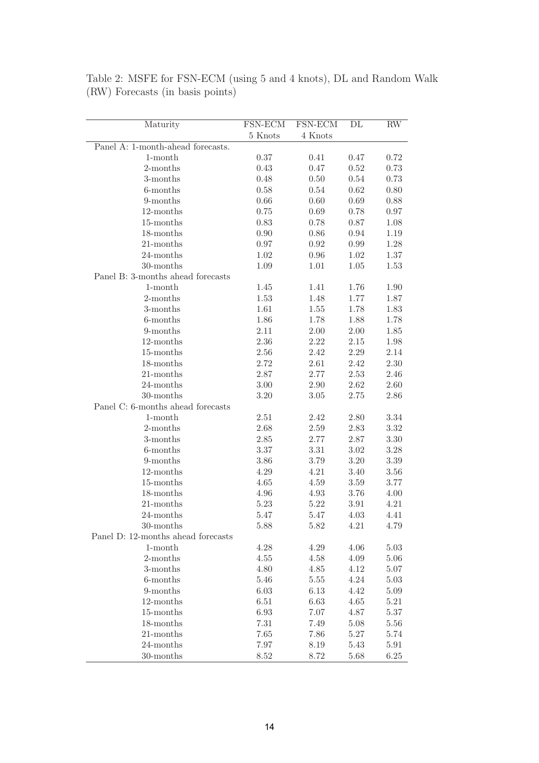| Maturity                           | FSN-ECM  | FSN-ECM  | DL       | $\mathbf{RW}$ |
|------------------------------------|----------|----------|----------|---------------|
|                                    | 5 Knots  | 4 Knots  |          |               |
| Panel A: 1-month-ahead forecasts.  |          |          |          |               |
| $1$ -month                         | 0.37     | 0.41     | 0.47     | 0.72          |
| 2-months                           | 0.43     | 0.47     | 0.52     | 0.73          |
| 3-months                           | 0.48     | 0.50     | 0.54     | 0.73          |
| 6-months                           | 0.58     | 0.54     | 0.62     | 0.80          |
| 9-months                           | 0.66     | 0.60     | 0.69     | 0.88          |
| $12$ -months                       | 0.75     | 0.69     | 0.78     | 0.97          |
| 15-months                          | 0.83     | 0.78     | 0.87     | 1.08          |
| 18-months                          | 0.90     | 0.86     | 0.94     | 1.19          |
| 21-months                          | 0.97     | 0.92     | 0.99     | 1.28          |
| 24-months                          | 1.02     | 0.96     | 1.02     | 1.37          |
| 30-months                          | 1.09     | 1.01     | 1.05     | 1.53          |
| Panel B: 3-months ahead forecasts  |          |          |          |               |
| $1$ -month                         | 1.45     | 1.41     | 1.76     | 1.90          |
| 2-months                           | 1.53     | 1.48     | 1.77     | 1.87          |
| 3-months                           | 1.61     | 1.55     | 1.78     | 1.83          |
| 6-months                           | 1.86     | 1.78     | 1.88     | 1.78          |
| 9-months                           | 2.11     | $2.00\,$ | 2.00     | 1.85          |
| $12$ -months                       | 2.36     | 2.22     | 2.15     | 1.98          |
| 15-months                          | 2.56     | 2.42     | 2.29     | 2.14          |
| 18-months                          | 2.72     | 2.61     | 2.42     | 2.30          |
| $21$ -months                       | 2.87     | 2.77     | 2.53     | 2.46          |
| 24-months                          | 3.00     | 2.90     | 2.62     | 2.60          |
| 30-months                          | 3.20     | $3.05\,$ | 2.75     | 2.86          |
| Panel C: 6-months ahead forecasts  |          |          |          |               |
| $1$ -month                         | 2.51     | 2.42     | 2.80     | 3.34          |
| 2-months                           | 2.68     | 2.59     | 2.83     | 3.32          |
| 3-months                           | 2.85     | 2.77     | 2.87     | $3.30\,$      |
| 6-months                           | 3.37     | 3.31     | 3.02     | 3.28          |
| 9-months                           | 3.86     | 3.79     | 3.20     | $3.39\,$      |
| $12$ -months                       | 4.29     | 4.21     | 3.40     | $3.56\,$      |
| 15-months                          | 4.65     | 4.59     | 3.59     | 3.77          |
| 18-months                          | 4.96     | 4.93     | 3.76     | 4.00          |
| $21$ -months                       | 5.23     | 5.22     | 3.91     | 4.21          |
| 24-months                          | 5.47     | 5.47     | 4.03     | 4.41          |
| 30-months                          | 5.88     | 5.82     | 4.21     | 4.79          |
| Panel D: 12-months ahead forecasts |          |          |          |               |
| $1$ -month                         | $4.28\,$ | $4.29\,$ | 4.06     | $5.03\,$      |
| 2-months                           | 4.55     | 4.58     | 4.09     | 5.06          |
| 3-months                           | 4.80     | 4.85     | 4.12     | 5.07          |
| 6-months                           | 5.46     | $5.55\,$ | 4.24     | 5.03          |
| 9-months                           | 6.03     | 6.13     | 4.42     | 5.09          |
| 12-months                          | 6.51     | 6.63     | 4.65     | 5.21          |
| 15-months                          |          |          |          |               |
|                                    | 6.93     | 7.07     | 4.87     | 5.37          |
| 18-months                          | 7.31     | 7.49     | 5.08     | 5.56          |
| 21-months                          | 7.65     | 7.86     | $5.27\,$ | 5.74          |
| 24-months                          | 7.97     | 8.19     | 5.43     | 5.91          |
| 30-months                          | 8.52     | $8.72\,$ | 5.68     | 6.25          |

Table 2: MSFE for FSN-ECM (using 5 and 4 knots), DL and Random Walk (RW) Forecasts (in basis points)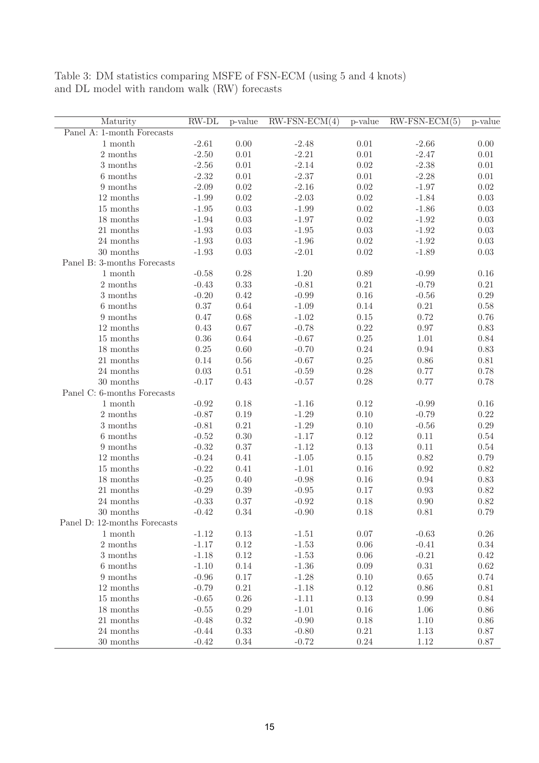Table 3: DM statistics comparing MSFE of FSN-ECM (using 5 and 4 knots) and DL model with random walk (RW) forecasts

| Maturity                     | $RW-DL$  | p-value  | $RW-FSN-ECM(4)$ | p-value  | $RW-FSN-ECM(5)$ | p-value  |
|------------------------------|----------|----------|-----------------|----------|-----------------|----------|
| Panel A: 1-month Forecasts   |          |          |                 |          |                 |          |
| 1 month                      | $-2.61$  | 0.00     | $-2.48$         | 0.01     | $-2.66$         | 0.00     |
| 2 months                     | $-2.50$  | 0.01     | $-2.21$         | $0.01\,$ | $-2.47$         | $0.01\,$ |
| 3 months                     | $-2.56$  | $0.01\,$ | $-2.14$         | $0.02\,$ | $-2.38$         | $0.01\,$ |
| 6 months                     | $-2.32$  | $0.01\,$ | $-2.37$         | $0.01\,$ | $-2.28$         | $0.01\,$ |
| 9 months                     | $-2.09$  | $0.02\,$ | $-2.16$         | $0.02\,$ | $-1.97$         | $0.02\,$ |
| 12 months                    | $-1.99$  | $0.02\,$ | $-2.03$         | $0.02\,$ | $-1.84$         | $0.03\,$ |
| 15 months                    | $-1.95$  | $0.03\,$ | $-1.99$         | $0.02\,$ | $-1.86$         | $0.03\,$ |
| 18 months                    | $-1.94$  | $0.03\,$ | $-1.97$         | $0.02\,$ | $-1.92$         | $0.03\,$ |
| 21 months                    | $-1.93$  | $0.03\,$ | $-1.95$         | $0.03\,$ | $-1.92$         | $0.03\,$ |
| 24 months                    | $-1.93$  | $0.03\,$ | $-1.96$         | $0.02\,$ | $-1.92$         | $0.03\,$ |
| 30 months                    | $-1.93$  | $0.03\,$ | $-2.01$         | $0.02\,$ | $-1.89$         | $0.03\,$ |
| Panel B: 3-months Forecasts  |          |          |                 |          |                 |          |
| 1 month                      | $-0.58$  | $0.28\,$ | 1.20            | 0.89     | $-0.99$         | 0.16     |
| 2 months                     | $-0.43$  | 0.33     | $-0.81$         | $0.21\,$ | $-0.79$         | $0.21\,$ |
| $3$ months $\,$              | $-0.20$  | 0.42     | $-0.99$         | 0.16     | $-0.56$         | 0.29     |
| 6 months                     | $0.37\,$ | 0.64     | $-1.09$         | 0.14     | $0.21\,$        | 0.58     |
| 9 months                     | 0.47     | 0.68     | $-1.02$         | $0.15\,$ | 0.72            | $0.76\,$ |
| 12 months                    | 0.43     | $0.67\,$ | $-0.78$         | 0.22     | 0.97            | 0.83     |
| 15 months                    | $0.36\,$ | $0.64\,$ | $-0.67$         | $0.25\,$ | $1.01\,$        | $0.84\,$ |
| 18 months                    | $0.25\,$ | $0.60\,$ | $-0.70$         | $0.24\,$ | 0.94            | 0.83     |
| 21 months                    | $0.14\,$ | $0.56\,$ | $-0.67$         | 0.25     | 0.86            | $0.81\,$ |
| 24 months                    | $0.03\,$ | $0.51\,$ | $-0.59$         | 0.28     | 0.77            | 0.78     |
| 30 months                    | $-0.17$  | 0.43     | $-0.57$         | 0.28     | 0.77            | 0.78     |
| Panel C: 6-months Forecasts  |          |          |                 |          |                 |          |
| 1 month                      | $-0.92$  | 0.18     | $-1.16$         | 0.12     | $-0.99$         | 0.16     |
| 2 months                     | $-0.87$  | $0.19\,$ | $-1.29$         | 0.10     | $-0.79$         | $0.22\,$ |
| 3 months                     | $-0.81$  | 0.21     | $-1.29$         | 0.10     | $-0.56$         | 0.29     |
| 6 months                     | $-0.52$  | 0.30     | $-1.17$         | 0.12     | 0.11            | 0.54     |
| 9 months                     | $-0.32$  | $0.37\,$ | $-1.12$         | $0.13\,$ | 0.11            | 0.54     |
| 12 months                    | $-0.24$  | 0.41     | $-1.05$         | $0.15\,$ | 0.82            | 0.79     |
| 15 months                    | $-0.22$  | 0.41     | $-1.01$         | 0.16     | $0.92\,$        | 0.82     |
| 18 months                    | $-0.25$  | 0.40     | $-0.98$         | 0.16     | 0.94            | 0.83     |
| 21 months                    | $-0.29$  | $0.39\,$ | $-0.95$         | 0.17     | 0.93            | 0.82     |
| 24 months                    | $-0.33$  | $0.37\,$ | $-0.92$         | 0.18     | 0.90            | 0.82     |
| 30 months                    | $-0.42$  | 0.34     | $-0.90$         | 0.18     | $0.81\,$        | 0.79     |
| Panel D: 12-months Forecasts |          |          |                 |          |                 |          |
| 1 month                      | $-1.12$  | 0.13     | $-1.51$         | $0.07\,$ | $-0.63$         | $0.26\,$ |
| 2 months                     | $-1.17$  | $0.12\,$ | $-1.53$         | $0.06\,$ | $-0.41$         | 0.34     |
| 3 months                     | $-1.18$  | 0.12     | $-1.53$         | $0.06\,$ | $-0.21$         | $0.42\,$ |
| 6 months                     | $-1.10$  | 0.14     | $-1.36$         | 0.09     | $0.31\,$        | $0.62\,$ |
| 9 months                     | $-0.96$  | $0.17\,$ | $-1.28$         | $0.10\,$ | 0.65            | 0.74     |
| 12 months                    | $-0.79$  | 0.21     | $-1.18$         | $0.12\,$ | $0.86\,$        | $0.81\,$ |
| 15 months                    | $-0.65$  | $0.26\,$ | $-1.11$         | 0.13     | 0.99            | 0.84     |
| 18 months                    | $-0.55$  | $0.29\,$ | $-1.01$         | $0.16\,$ | $1.06\,$        | 0.86     |
| 21 months                    | $-0.48$  | 0.32     | $-0.90$         | 0.18     | 1.10            | 0.86     |
| 24 months                    | $-0.44$  | $0.33\,$ | $-0.80$         | $0.21\,$ | 1.13            | 0.87     |
| $30 \text{ months}$          | $-0.42$  | $0.34\,$ | $-0.72$         | $0.24\,$ | $1.12\,$        | $0.87\,$ |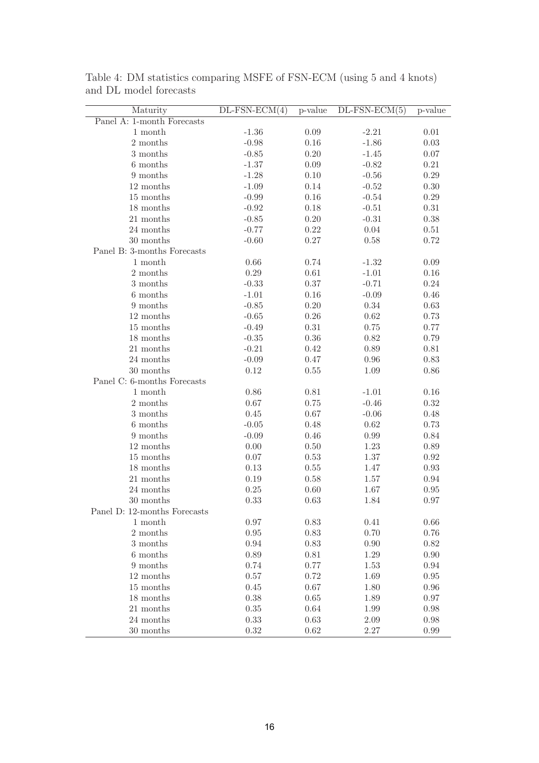| 0.09<br>$-1.36$<br>$-2.21$<br>$0.01\,$<br>1 month<br>$0.16\,$<br>2 months<br>$-0.98$<br>$-1.86$<br>0.03<br>$-0.85$<br>0.20<br>3 months<br>$-1.45$<br>0.07<br>0.09<br>$0.21\,$<br>6 months<br>$-1.37$<br>$-0.82$<br>0.10<br>0.29<br>9 months<br>$-1.28$<br>$-0.56$<br>0.14<br>12 months<br>$-1.09$<br>$-0.52$<br>0.30<br>0.16<br>15 months<br>$-0.99$<br>$-0.54$<br>0.29<br>0.18<br>18 months<br>$-0.92$<br>$-0.51$<br>0.31<br>$0.20\,$<br>21 months<br>$-0.85$<br>$-0.31$<br>0.38<br>$0.22\,$<br>$0.04\,$<br>24 months<br>$-0.77$<br>0.51<br>0.27<br>0.72<br>30 months<br>$-0.60$<br>0.58<br>Panel B: 3-months Forecasts<br>$0.66\,$<br>0.74<br>0.09<br>1 month<br>$-1.32$<br>$0.29\,$<br>0.61<br>2 months<br>$-1.01$<br>0.16<br>0.37<br>$-0.71$<br>3 months<br>$-0.33$<br>0.24<br>0.16<br>6 months<br>$-1.01$<br>$-0.09$<br>0.46<br>$-0.85$<br>0.20<br>$0.34\,$<br>9 months<br>0.63<br>0.26<br>0.62<br>12 months<br>$-0.65$<br>0.73<br>$0.31\,$<br>15 months<br>$-0.49$<br>0.75<br>0.77<br>0.36<br>0.82<br>18 months<br>$-0.35$<br>0.79<br>$-0.21$<br>$0.42\,$<br>0.89<br>$0.81\,$<br>21 months<br>24 months<br>$-0.09$<br>0.47<br>$0.96\,$<br>0.83<br>30 months<br>0.12<br>0.55<br>1.09<br>$0.86\,$<br>Panel C: 6-months Forecasts<br>$1$ month $\,$<br>$0.86\,$<br>0.81<br>0.16<br>$-1.01$<br>2 months<br>$0.67\,$<br>$-0.46$<br>0.75<br>0.32<br>3 months<br>0.45<br>0.67<br>$-0.06$<br>0.48<br>6 months<br>$-0.05$<br>0.48<br>0.62<br>0.73<br>9 months<br>$-0.09$<br>0.46<br>0.99<br>0.84<br>12 months<br>$0.00\,$<br>0.50<br>1.23<br>0.89<br>15 months<br>$0.07\,$<br>0.53<br>1.37<br>$0.92\,$<br>18 months<br>0.13<br>$0.55\,$<br>1.47<br>$0.93\,$<br>$21\ \mathrm{months}$<br>0.19<br>$0.58\,$<br>1.57<br>$0.94\,$<br>$24$ months $\,$<br>0.25<br>0.60<br>1.67<br>$0.95\,$<br>30 months<br>0.33<br>0.63<br>1.84<br>0.97<br>Panel D: 12-months Forecasts<br>$0.97\,$<br>0.83<br>0.41<br>0.66<br>1 month<br>0.70<br>2 months<br>0.95<br>0.83<br>0.76<br>3 months<br>0.94<br>0.83<br>0.90<br>0.82<br>6 months<br>$0.89\,$<br>0.81<br>1.29<br>0.90<br>9 months<br>0.74<br>0.77<br>$0.94\,$<br>1.53<br>12 months<br>0.57<br>0.72<br>1.69<br>$0.95\,$<br>15 months<br>0.45<br>0.67<br>1.80<br>0.96<br>0.38<br>18 months<br>0.65<br>1.89<br>0.97<br>21 months<br>0.35<br>0.64<br>1.99<br>0.98<br>0.33<br>24 months<br>0.63<br>2.09<br>0.98<br>$0.32\,$<br>30 months<br>0.62<br>2.27<br>0.99 | Maturity                   | $DL$ -FSN-ECM $(4)$ | p-value | $DL$ -FSN-ECM $(5)$ | p-value |
|---------------------------------------------------------------------------------------------------------------------------------------------------------------------------------------------------------------------------------------------------------------------------------------------------------------------------------------------------------------------------------------------------------------------------------------------------------------------------------------------------------------------------------------------------------------------------------------------------------------------------------------------------------------------------------------------------------------------------------------------------------------------------------------------------------------------------------------------------------------------------------------------------------------------------------------------------------------------------------------------------------------------------------------------------------------------------------------------------------------------------------------------------------------------------------------------------------------------------------------------------------------------------------------------------------------------------------------------------------------------------------------------------------------------------------------------------------------------------------------------------------------------------------------------------------------------------------------------------------------------------------------------------------------------------------------------------------------------------------------------------------------------------------------------------------------------------------------------------------------------------------------------------------------------------------------------------------------------------------------------------------------------------------------------------------------------------------------------------------------------------------------------------------------------------------------------------------------------------------------------------------------------------------------------------------------------------------------------------------------------------------------------|----------------------------|---------------------|---------|---------------------|---------|
|                                                                                                                                                                                                                                                                                                                                                                                                                                                                                                                                                                                                                                                                                                                                                                                                                                                                                                                                                                                                                                                                                                                                                                                                                                                                                                                                                                                                                                                                                                                                                                                                                                                                                                                                                                                                                                                                                                                                                                                                                                                                                                                                                                                                                                                                                                                                                                                             | Panel A: 1-month Forecasts |                     |         |                     |         |
|                                                                                                                                                                                                                                                                                                                                                                                                                                                                                                                                                                                                                                                                                                                                                                                                                                                                                                                                                                                                                                                                                                                                                                                                                                                                                                                                                                                                                                                                                                                                                                                                                                                                                                                                                                                                                                                                                                                                                                                                                                                                                                                                                                                                                                                                                                                                                                                             |                            |                     |         |                     |         |
|                                                                                                                                                                                                                                                                                                                                                                                                                                                                                                                                                                                                                                                                                                                                                                                                                                                                                                                                                                                                                                                                                                                                                                                                                                                                                                                                                                                                                                                                                                                                                                                                                                                                                                                                                                                                                                                                                                                                                                                                                                                                                                                                                                                                                                                                                                                                                                                             |                            |                     |         |                     |         |
|                                                                                                                                                                                                                                                                                                                                                                                                                                                                                                                                                                                                                                                                                                                                                                                                                                                                                                                                                                                                                                                                                                                                                                                                                                                                                                                                                                                                                                                                                                                                                                                                                                                                                                                                                                                                                                                                                                                                                                                                                                                                                                                                                                                                                                                                                                                                                                                             |                            |                     |         |                     |         |
|                                                                                                                                                                                                                                                                                                                                                                                                                                                                                                                                                                                                                                                                                                                                                                                                                                                                                                                                                                                                                                                                                                                                                                                                                                                                                                                                                                                                                                                                                                                                                                                                                                                                                                                                                                                                                                                                                                                                                                                                                                                                                                                                                                                                                                                                                                                                                                                             |                            |                     |         |                     |         |
|                                                                                                                                                                                                                                                                                                                                                                                                                                                                                                                                                                                                                                                                                                                                                                                                                                                                                                                                                                                                                                                                                                                                                                                                                                                                                                                                                                                                                                                                                                                                                                                                                                                                                                                                                                                                                                                                                                                                                                                                                                                                                                                                                                                                                                                                                                                                                                                             |                            |                     |         |                     |         |
|                                                                                                                                                                                                                                                                                                                                                                                                                                                                                                                                                                                                                                                                                                                                                                                                                                                                                                                                                                                                                                                                                                                                                                                                                                                                                                                                                                                                                                                                                                                                                                                                                                                                                                                                                                                                                                                                                                                                                                                                                                                                                                                                                                                                                                                                                                                                                                                             |                            |                     |         |                     |         |
|                                                                                                                                                                                                                                                                                                                                                                                                                                                                                                                                                                                                                                                                                                                                                                                                                                                                                                                                                                                                                                                                                                                                                                                                                                                                                                                                                                                                                                                                                                                                                                                                                                                                                                                                                                                                                                                                                                                                                                                                                                                                                                                                                                                                                                                                                                                                                                                             |                            |                     |         |                     |         |
|                                                                                                                                                                                                                                                                                                                                                                                                                                                                                                                                                                                                                                                                                                                                                                                                                                                                                                                                                                                                                                                                                                                                                                                                                                                                                                                                                                                                                                                                                                                                                                                                                                                                                                                                                                                                                                                                                                                                                                                                                                                                                                                                                                                                                                                                                                                                                                                             |                            |                     |         |                     |         |
|                                                                                                                                                                                                                                                                                                                                                                                                                                                                                                                                                                                                                                                                                                                                                                                                                                                                                                                                                                                                                                                                                                                                                                                                                                                                                                                                                                                                                                                                                                                                                                                                                                                                                                                                                                                                                                                                                                                                                                                                                                                                                                                                                                                                                                                                                                                                                                                             |                            |                     |         |                     |         |
|                                                                                                                                                                                                                                                                                                                                                                                                                                                                                                                                                                                                                                                                                                                                                                                                                                                                                                                                                                                                                                                                                                                                                                                                                                                                                                                                                                                                                                                                                                                                                                                                                                                                                                                                                                                                                                                                                                                                                                                                                                                                                                                                                                                                                                                                                                                                                                                             |                            |                     |         |                     |         |
|                                                                                                                                                                                                                                                                                                                                                                                                                                                                                                                                                                                                                                                                                                                                                                                                                                                                                                                                                                                                                                                                                                                                                                                                                                                                                                                                                                                                                                                                                                                                                                                                                                                                                                                                                                                                                                                                                                                                                                                                                                                                                                                                                                                                                                                                                                                                                                                             |                            |                     |         |                     |         |
|                                                                                                                                                                                                                                                                                                                                                                                                                                                                                                                                                                                                                                                                                                                                                                                                                                                                                                                                                                                                                                                                                                                                                                                                                                                                                                                                                                                                                                                                                                                                                                                                                                                                                                                                                                                                                                                                                                                                                                                                                                                                                                                                                                                                                                                                                                                                                                                             |                            |                     |         |                     |         |
|                                                                                                                                                                                                                                                                                                                                                                                                                                                                                                                                                                                                                                                                                                                                                                                                                                                                                                                                                                                                                                                                                                                                                                                                                                                                                                                                                                                                                                                                                                                                                                                                                                                                                                                                                                                                                                                                                                                                                                                                                                                                                                                                                                                                                                                                                                                                                                                             |                            |                     |         |                     |         |
|                                                                                                                                                                                                                                                                                                                                                                                                                                                                                                                                                                                                                                                                                                                                                                                                                                                                                                                                                                                                                                                                                                                                                                                                                                                                                                                                                                                                                                                                                                                                                                                                                                                                                                                                                                                                                                                                                                                                                                                                                                                                                                                                                                                                                                                                                                                                                                                             |                            |                     |         |                     |         |
|                                                                                                                                                                                                                                                                                                                                                                                                                                                                                                                                                                                                                                                                                                                                                                                                                                                                                                                                                                                                                                                                                                                                                                                                                                                                                                                                                                                                                                                                                                                                                                                                                                                                                                                                                                                                                                                                                                                                                                                                                                                                                                                                                                                                                                                                                                                                                                                             |                            |                     |         |                     |         |
|                                                                                                                                                                                                                                                                                                                                                                                                                                                                                                                                                                                                                                                                                                                                                                                                                                                                                                                                                                                                                                                                                                                                                                                                                                                                                                                                                                                                                                                                                                                                                                                                                                                                                                                                                                                                                                                                                                                                                                                                                                                                                                                                                                                                                                                                                                                                                                                             |                            |                     |         |                     |         |
|                                                                                                                                                                                                                                                                                                                                                                                                                                                                                                                                                                                                                                                                                                                                                                                                                                                                                                                                                                                                                                                                                                                                                                                                                                                                                                                                                                                                                                                                                                                                                                                                                                                                                                                                                                                                                                                                                                                                                                                                                                                                                                                                                                                                                                                                                                                                                                                             |                            |                     |         |                     |         |
|                                                                                                                                                                                                                                                                                                                                                                                                                                                                                                                                                                                                                                                                                                                                                                                                                                                                                                                                                                                                                                                                                                                                                                                                                                                                                                                                                                                                                                                                                                                                                                                                                                                                                                                                                                                                                                                                                                                                                                                                                                                                                                                                                                                                                                                                                                                                                                                             |                            |                     |         |                     |         |
|                                                                                                                                                                                                                                                                                                                                                                                                                                                                                                                                                                                                                                                                                                                                                                                                                                                                                                                                                                                                                                                                                                                                                                                                                                                                                                                                                                                                                                                                                                                                                                                                                                                                                                                                                                                                                                                                                                                                                                                                                                                                                                                                                                                                                                                                                                                                                                                             |                            |                     |         |                     |         |
|                                                                                                                                                                                                                                                                                                                                                                                                                                                                                                                                                                                                                                                                                                                                                                                                                                                                                                                                                                                                                                                                                                                                                                                                                                                                                                                                                                                                                                                                                                                                                                                                                                                                                                                                                                                                                                                                                                                                                                                                                                                                                                                                                                                                                                                                                                                                                                                             |                            |                     |         |                     |         |
|                                                                                                                                                                                                                                                                                                                                                                                                                                                                                                                                                                                                                                                                                                                                                                                                                                                                                                                                                                                                                                                                                                                                                                                                                                                                                                                                                                                                                                                                                                                                                                                                                                                                                                                                                                                                                                                                                                                                                                                                                                                                                                                                                                                                                                                                                                                                                                                             |                            |                     |         |                     |         |
|                                                                                                                                                                                                                                                                                                                                                                                                                                                                                                                                                                                                                                                                                                                                                                                                                                                                                                                                                                                                                                                                                                                                                                                                                                                                                                                                                                                                                                                                                                                                                                                                                                                                                                                                                                                                                                                                                                                                                                                                                                                                                                                                                                                                                                                                                                                                                                                             |                            |                     |         |                     |         |
|                                                                                                                                                                                                                                                                                                                                                                                                                                                                                                                                                                                                                                                                                                                                                                                                                                                                                                                                                                                                                                                                                                                                                                                                                                                                                                                                                                                                                                                                                                                                                                                                                                                                                                                                                                                                                                                                                                                                                                                                                                                                                                                                                                                                                                                                                                                                                                                             |                            |                     |         |                     |         |
|                                                                                                                                                                                                                                                                                                                                                                                                                                                                                                                                                                                                                                                                                                                                                                                                                                                                                                                                                                                                                                                                                                                                                                                                                                                                                                                                                                                                                                                                                                                                                                                                                                                                                                                                                                                                                                                                                                                                                                                                                                                                                                                                                                                                                                                                                                                                                                                             |                            |                     |         |                     |         |
|                                                                                                                                                                                                                                                                                                                                                                                                                                                                                                                                                                                                                                                                                                                                                                                                                                                                                                                                                                                                                                                                                                                                                                                                                                                                                                                                                                                                                                                                                                                                                                                                                                                                                                                                                                                                                                                                                                                                                                                                                                                                                                                                                                                                                                                                                                                                                                                             |                            |                     |         |                     |         |
|                                                                                                                                                                                                                                                                                                                                                                                                                                                                                                                                                                                                                                                                                                                                                                                                                                                                                                                                                                                                                                                                                                                                                                                                                                                                                                                                                                                                                                                                                                                                                                                                                                                                                                                                                                                                                                                                                                                                                                                                                                                                                                                                                                                                                                                                                                                                                                                             |                            |                     |         |                     |         |
|                                                                                                                                                                                                                                                                                                                                                                                                                                                                                                                                                                                                                                                                                                                                                                                                                                                                                                                                                                                                                                                                                                                                                                                                                                                                                                                                                                                                                                                                                                                                                                                                                                                                                                                                                                                                                                                                                                                                                                                                                                                                                                                                                                                                                                                                                                                                                                                             |                            |                     |         |                     |         |
|                                                                                                                                                                                                                                                                                                                                                                                                                                                                                                                                                                                                                                                                                                                                                                                                                                                                                                                                                                                                                                                                                                                                                                                                                                                                                                                                                                                                                                                                                                                                                                                                                                                                                                                                                                                                                                                                                                                                                                                                                                                                                                                                                                                                                                                                                                                                                                                             |                            |                     |         |                     |         |
|                                                                                                                                                                                                                                                                                                                                                                                                                                                                                                                                                                                                                                                                                                                                                                                                                                                                                                                                                                                                                                                                                                                                                                                                                                                                                                                                                                                                                                                                                                                                                                                                                                                                                                                                                                                                                                                                                                                                                                                                                                                                                                                                                                                                                                                                                                                                                                                             |                            |                     |         |                     |         |
|                                                                                                                                                                                                                                                                                                                                                                                                                                                                                                                                                                                                                                                                                                                                                                                                                                                                                                                                                                                                                                                                                                                                                                                                                                                                                                                                                                                                                                                                                                                                                                                                                                                                                                                                                                                                                                                                                                                                                                                                                                                                                                                                                                                                                                                                                                                                                                                             |                            |                     |         |                     |         |
|                                                                                                                                                                                                                                                                                                                                                                                                                                                                                                                                                                                                                                                                                                                                                                                                                                                                                                                                                                                                                                                                                                                                                                                                                                                                                                                                                                                                                                                                                                                                                                                                                                                                                                                                                                                                                                                                                                                                                                                                                                                                                                                                                                                                                                                                                                                                                                                             |                            |                     |         |                     |         |
|                                                                                                                                                                                                                                                                                                                                                                                                                                                                                                                                                                                                                                                                                                                                                                                                                                                                                                                                                                                                                                                                                                                                                                                                                                                                                                                                                                                                                                                                                                                                                                                                                                                                                                                                                                                                                                                                                                                                                                                                                                                                                                                                                                                                                                                                                                                                                                                             |                            |                     |         |                     |         |
|                                                                                                                                                                                                                                                                                                                                                                                                                                                                                                                                                                                                                                                                                                                                                                                                                                                                                                                                                                                                                                                                                                                                                                                                                                                                                                                                                                                                                                                                                                                                                                                                                                                                                                                                                                                                                                                                                                                                                                                                                                                                                                                                                                                                                                                                                                                                                                                             |                            |                     |         |                     |         |
|                                                                                                                                                                                                                                                                                                                                                                                                                                                                                                                                                                                                                                                                                                                                                                                                                                                                                                                                                                                                                                                                                                                                                                                                                                                                                                                                                                                                                                                                                                                                                                                                                                                                                                                                                                                                                                                                                                                                                                                                                                                                                                                                                                                                                                                                                                                                                                                             |                            |                     |         |                     |         |
|                                                                                                                                                                                                                                                                                                                                                                                                                                                                                                                                                                                                                                                                                                                                                                                                                                                                                                                                                                                                                                                                                                                                                                                                                                                                                                                                                                                                                                                                                                                                                                                                                                                                                                                                                                                                                                                                                                                                                                                                                                                                                                                                                                                                                                                                                                                                                                                             |                            |                     |         |                     |         |
|                                                                                                                                                                                                                                                                                                                                                                                                                                                                                                                                                                                                                                                                                                                                                                                                                                                                                                                                                                                                                                                                                                                                                                                                                                                                                                                                                                                                                                                                                                                                                                                                                                                                                                                                                                                                                                                                                                                                                                                                                                                                                                                                                                                                                                                                                                                                                                                             |                            |                     |         |                     |         |
|                                                                                                                                                                                                                                                                                                                                                                                                                                                                                                                                                                                                                                                                                                                                                                                                                                                                                                                                                                                                                                                                                                                                                                                                                                                                                                                                                                                                                                                                                                                                                                                                                                                                                                                                                                                                                                                                                                                                                                                                                                                                                                                                                                                                                                                                                                                                                                                             |                            |                     |         |                     |         |
|                                                                                                                                                                                                                                                                                                                                                                                                                                                                                                                                                                                                                                                                                                                                                                                                                                                                                                                                                                                                                                                                                                                                                                                                                                                                                                                                                                                                                                                                                                                                                                                                                                                                                                                                                                                                                                                                                                                                                                                                                                                                                                                                                                                                                                                                                                                                                                                             |                            |                     |         |                     |         |
|                                                                                                                                                                                                                                                                                                                                                                                                                                                                                                                                                                                                                                                                                                                                                                                                                                                                                                                                                                                                                                                                                                                                                                                                                                                                                                                                                                                                                                                                                                                                                                                                                                                                                                                                                                                                                                                                                                                                                                                                                                                                                                                                                                                                                                                                                                                                                                                             |                            |                     |         |                     |         |
|                                                                                                                                                                                                                                                                                                                                                                                                                                                                                                                                                                                                                                                                                                                                                                                                                                                                                                                                                                                                                                                                                                                                                                                                                                                                                                                                                                                                                                                                                                                                                                                                                                                                                                                                                                                                                                                                                                                                                                                                                                                                                                                                                                                                                                                                                                                                                                                             |                            |                     |         |                     |         |
|                                                                                                                                                                                                                                                                                                                                                                                                                                                                                                                                                                                                                                                                                                                                                                                                                                                                                                                                                                                                                                                                                                                                                                                                                                                                                                                                                                                                                                                                                                                                                                                                                                                                                                                                                                                                                                                                                                                                                                                                                                                                                                                                                                                                                                                                                                                                                                                             |                            |                     |         |                     |         |
|                                                                                                                                                                                                                                                                                                                                                                                                                                                                                                                                                                                                                                                                                                                                                                                                                                                                                                                                                                                                                                                                                                                                                                                                                                                                                                                                                                                                                                                                                                                                                                                                                                                                                                                                                                                                                                                                                                                                                                                                                                                                                                                                                                                                                                                                                                                                                                                             |                            |                     |         |                     |         |
|                                                                                                                                                                                                                                                                                                                                                                                                                                                                                                                                                                                                                                                                                                                                                                                                                                                                                                                                                                                                                                                                                                                                                                                                                                                                                                                                                                                                                                                                                                                                                                                                                                                                                                                                                                                                                                                                                                                                                                                                                                                                                                                                                                                                                                                                                                                                                                                             |                            |                     |         |                     |         |
|                                                                                                                                                                                                                                                                                                                                                                                                                                                                                                                                                                                                                                                                                                                                                                                                                                                                                                                                                                                                                                                                                                                                                                                                                                                                                                                                                                                                                                                                                                                                                                                                                                                                                                                                                                                                                                                                                                                                                                                                                                                                                                                                                                                                                                                                                                                                                                                             |                            |                     |         |                     |         |
|                                                                                                                                                                                                                                                                                                                                                                                                                                                                                                                                                                                                                                                                                                                                                                                                                                                                                                                                                                                                                                                                                                                                                                                                                                                                                                                                                                                                                                                                                                                                                                                                                                                                                                                                                                                                                                                                                                                                                                                                                                                                                                                                                                                                                                                                                                                                                                                             |                            |                     |         |                     |         |
|                                                                                                                                                                                                                                                                                                                                                                                                                                                                                                                                                                                                                                                                                                                                                                                                                                                                                                                                                                                                                                                                                                                                                                                                                                                                                                                                                                                                                                                                                                                                                                                                                                                                                                                                                                                                                                                                                                                                                                                                                                                                                                                                                                                                                                                                                                                                                                                             |                            |                     |         |                     |         |
|                                                                                                                                                                                                                                                                                                                                                                                                                                                                                                                                                                                                                                                                                                                                                                                                                                                                                                                                                                                                                                                                                                                                                                                                                                                                                                                                                                                                                                                                                                                                                                                                                                                                                                                                                                                                                                                                                                                                                                                                                                                                                                                                                                                                                                                                                                                                                                                             |                            |                     |         |                     |         |

Table 4: DM statistics comparing MSFE of FSN-ECM (using 5 and 4 knots) and DL model forecasts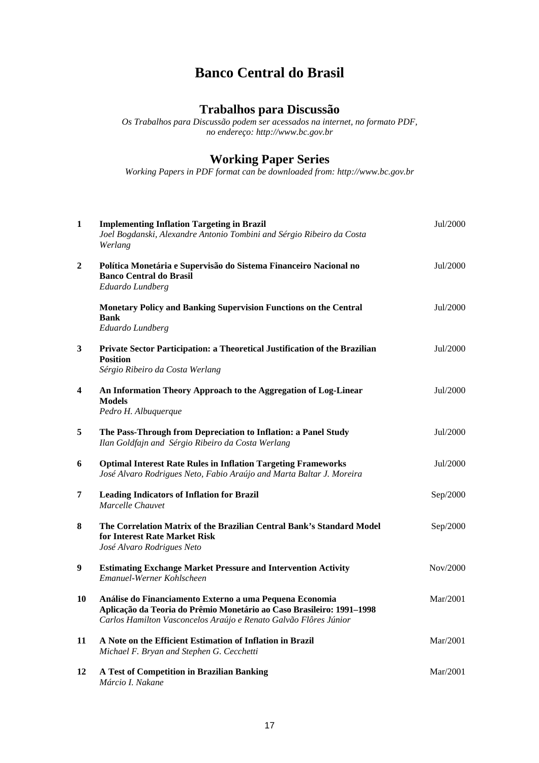## **Banco Central do Brasil**

## **Trabalhos para Discussão**

*Os Trabalhos para Discussão podem ser acessados na internet, no formato PDF, no endereço: http://www.bc.gov.br* 

## **Working Paper Series**

*Working Papers in PDF format can be downloaded from: http://www.bc.gov.br* 

| 1                       | <b>Implementing Inflation Targeting in Brazil</b><br>Joel Bogdanski, Alexandre Antonio Tombini and Sérgio Ribeiro da Costa<br>Werlang                                                                | Jul/2000 |
|-------------------------|------------------------------------------------------------------------------------------------------------------------------------------------------------------------------------------------------|----------|
| 2                       | Política Monetária e Supervisão do Sistema Financeiro Nacional no<br><b>Banco Central do Brasil</b><br>Eduardo Lundberg                                                                              | Jul/2000 |
|                         | Monetary Policy and Banking Supervision Functions on the Central<br><b>Bank</b><br>Eduardo Lundberg                                                                                                  | Jul/2000 |
| 3                       | Private Sector Participation: a Theoretical Justification of the Brazilian<br><b>Position</b><br>Sérgio Ribeiro da Costa Werlang                                                                     | Jul/2000 |
| $\overline{\mathbf{4}}$ | An Information Theory Approach to the Aggregation of Log-Linear<br><b>Models</b><br>Pedro H. Albuquerque                                                                                             | Jul/2000 |
| 5                       | The Pass-Through from Depreciation to Inflation: a Panel Study<br>Ilan Goldfajn and Sérgio Ribeiro da Costa Werlang                                                                                  | Jul/2000 |
| 6                       | <b>Optimal Interest Rate Rules in Inflation Targeting Frameworks</b><br>José Alvaro Rodrigues Neto, Fabio Araújo and Marta Baltar J. Moreira                                                         | Jul/2000 |
| 7                       | <b>Leading Indicators of Inflation for Brazil</b><br>Marcelle Chauvet                                                                                                                                | Sep/2000 |
| 8                       | The Correlation Matrix of the Brazilian Central Bank's Standard Model<br>for Interest Rate Market Risk<br>José Alvaro Rodrigues Neto                                                                 | Sep/2000 |
| 9                       | <b>Estimating Exchange Market Pressure and Intervention Activity</b><br>Emanuel-Werner Kohlscheen                                                                                                    | Nov/2000 |
| 10                      | Análise do Financiamento Externo a uma Pequena Economia<br>Aplicação da Teoria do Prêmio Monetário ao Caso Brasileiro: 1991-1998<br>Carlos Hamilton Vasconcelos Araújo e Renato Galvão Flôres Júnior | Mar/2001 |
| 11                      | A Note on the Efficient Estimation of Inflation in Brazil<br>Michael F. Bryan and Stephen G. Cecchetti                                                                                               | Mar/2001 |
| 12                      | A Test of Competition in Brazilian Banking<br>Márcio I. Nakane                                                                                                                                       | Mar/2001 |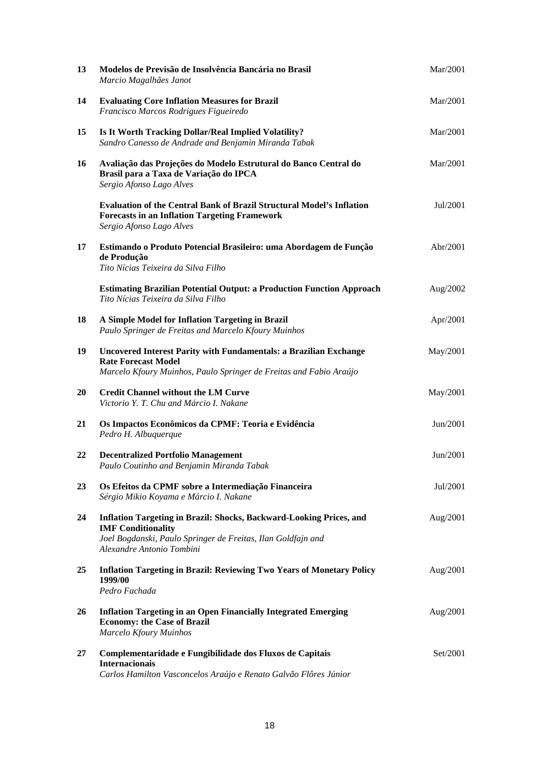| 13        | Modelos de Previsão de Insolvência Bancária no Brasil<br>Marcio Magalhães Janot                                                                                                                      | Mar/2001 |
|-----------|------------------------------------------------------------------------------------------------------------------------------------------------------------------------------------------------------|----------|
| 14        | <b>Evaluating Core Inflation Measures for Brazil</b><br>Francisco Marcos Rodrigues Figueiredo                                                                                                        | Mar/2001 |
| 15        | Is It Worth Tracking Dollar/Real Implied Volatility?<br>Sandro Canesso de Andrade and Benjamin Miranda Tabak                                                                                         | Mar/2001 |
| 16        | Avaliação das Projeções do Modelo Estrutural do Banco Central do<br>Brasil para a Taxa de Variação do IPCA<br>Sergio Afonso Lago Alves                                                               | Mar/2001 |
|           | <b>Evaluation of the Central Bank of Brazil Structural Model's Inflation</b><br><b>Forecasts in an Inflation Targeting Framework</b><br>Sergio Afonso Lago Alves                                     | Jul/2001 |
| 17        | Estimando o Produto Potencial Brasileiro: uma Abordagem de Função<br>de Produção<br>Tito Nícias Teixeira da Silva Filho                                                                              | Abr/2001 |
|           | <b>Estimating Brazilian Potential Output: a Production Function Approach</b><br>Tito Nícias Teixeira da Silva Filho                                                                                  | Aug/2002 |
| 18        | A Simple Model for Inflation Targeting in Brazil<br>Paulo Springer de Freitas and Marcelo Kfoury Muinhos                                                                                             | Apr/2001 |
| 19        | <b>Uncovered Interest Parity with Fundamentals: a Brazilian Exchange</b><br><b>Rate Forecast Model</b><br>Marcelo Kfoury Muinhos, Paulo Springer de Freitas and Fabio Araújo                         | May/2001 |
| <b>20</b> | <b>Credit Channel without the LM Curve</b><br>Victorio Y. T. Chu and Márcio I. Nakane                                                                                                                | May/2001 |
| 21        | Os Impactos Econômicos da CPMF: Teoria e Evidência<br>Pedro H. Albuquerque                                                                                                                           | Jun/2001 |
| 22        | <b>Decentralized Portfolio Management</b><br>Paulo Coutinho and Benjamin Miranda Tabak                                                                                                               | Jun/2001 |
| 23        | Os Efeitos da CPMF sobre a Intermediação Financeira<br>Sérgio Mikio Koyama e Márcio I. Nakane                                                                                                        | Jul/2001 |
| 24        | <b>Inflation Targeting in Brazil: Shocks, Backward-Looking Prices, and</b><br><b>IMF Conditionality</b><br>Joel Bogdanski, Paulo Springer de Freitas, Ilan Goldfajn and<br>Alexandre Antonio Tombini | Aug/2001 |
| 25        | <b>Inflation Targeting in Brazil: Reviewing Two Years of Monetary Policy</b><br>1999/00<br>Pedro Fachada                                                                                             | Aug/2001 |
| 26        | <b>Inflation Targeting in an Open Financially Integrated Emerging</b><br><b>Economy: the Case of Brazil</b><br>Marcelo Kfoury Muinhos                                                                | Aug/2001 |
| 27        | Complementaridade e Fungibilidade dos Fluxos de Capitais<br><b>Internacionais</b><br>Carlos Hamilton Vasconcelos Araújo e Renato Galvão Flôres Júnior                                                | Set/2001 |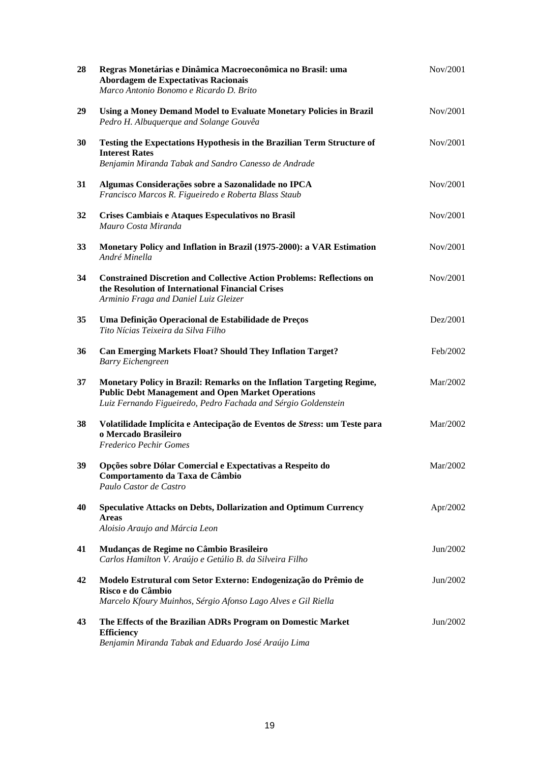| 28 | Regras Monetárias e Dinâmica Macroeconômica no Brasil: uma<br>Abordagem de Expectativas Racionais<br>Marco Antonio Bonomo e Ricardo D. Brito                                                        | Nov/2001 |
|----|-----------------------------------------------------------------------------------------------------------------------------------------------------------------------------------------------------|----------|
| 29 | Using a Money Demand Model to Evaluate Monetary Policies in Brazil<br>Pedro H. Albuquerque and Solange Gouvêa                                                                                       | Nov/2001 |
| 30 | Testing the Expectations Hypothesis in the Brazilian Term Structure of<br><b>Interest Rates</b><br>Benjamin Miranda Tabak and Sandro Canesso de Andrade                                             | Nov/2001 |
| 31 | Algumas Considerações sobre a Sazonalidade no IPCA<br>Francisco Marcos R. Figueiredo e Roberta Blass Staub                                                                                          | Nov/2001 |
| 32 | Crises Cambiais e Ataques Especulativos no Brasil<br>Mauro Costa Miranda                                                                                                                            | Nov/2001 |
| 33 | Monetary Policy and Inflation in Brazil (1975-2000): a VAR Estimation<br>André Minella                                                                                                              | Nov/2001 |
| 34 | <b>Constrained Discretion and Collective Action Problems: Reflections on</b><br>the Resolution of International Financial Crises<br>Arminio Fraga and Daniel Luiz Gleizer                           | Nov/2001 |
| 35 | Uma Definição Operacional de Estabilidade de Preços<br>Tito Nícias Teixeira da Silva Filho                                                                                                          | Dez/2001 |
| 36 | <b>Can Emerging Markets Float? Should They Inflation Target?</b><br><b>Barry Eichengreen</b>                                                                                                        | Feb/2002 |
| 37 | Monetary Policy in Brazil: Remarks on the Inflation Targeting Regime,<br><b>Public Debt Management and Open Market Operations</b><br>Luiz Fernando Figueiredo, Pedro Fachada and Sérgio Goldenstein | Mar/2002 |
| 38 | Volatilidade Implícita e Antecipação de Eventos de Stress: um Teste para<br>o Mercado Brasileiro<br><b>Frederico Pechir Gomes</b>                                                                   | Mar/2002 |
| 39 | Opções sobre Dólar Comercial e Expectativas a Respeito do<br>Comportamento da Taxa de Câmbio<br>Paulo Castor de Castro                                                                              | Mar/2002 |
| 40 | <b>Speculative Attacks on Debts, Dollarization and Optimum Currency</b><br><b>Areas</b><br>Aloisio Araujo and Márcia Leon                                                                           | Apr/2002 |
| 41 | Mudanças de Regime no Câmbio Brasileiro<br>Carlos Hamilton V. Araújo e Getúlio B. da Silveira Filho                                                                                                 | Jun/2002 |
| 42 | Modelo Estrutural com Setor Externo: Endogenização do Prêmio de<br>Risco e do Câmbio<br>Marcelo Kfoury Muinhos, Sérgio Afonso Lago Alves e Gil Riella                                               | Jun/2002 |
| 43 | The Effects of the Brazilian ADRs Program on Domestic Market<br><b>Efficiency</b><br>Benjamin Miranda Tabak and Eduardo José Araújo Lima                                                            | Jun/2002 |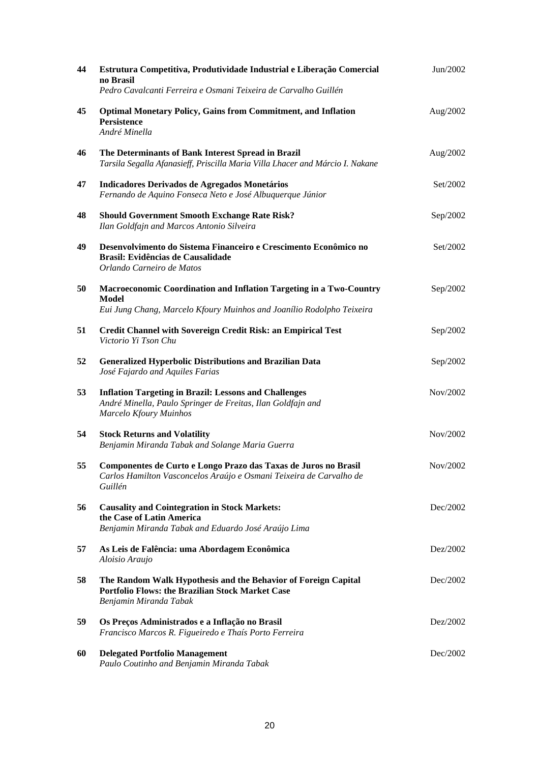| 44 | Estrutura Competitiva, Produtividade Industrial e Liberação Comercial<br>no Brasil<br>Pedro Cavalcanti Ferreira e Osmani Teixeira de Carvalho Guillén | Jun/2002 |
|----|-------------------------------------------------------------------------------------------------------------------------------------------------------|----------|
| 45 | <b>Optimal Monetary Policy, Gains from Commitment, and Inflation</b><br><b>Persistence</b><br>André Minella                                           | Aug/2002 |
| 46 | The Determinants of Bank Interest Spread in Brazil<br>Tarsila Segalla Afanasieff, Priscilla Maria Villa Lhacer and Márcio I. Nakane                   | Aug/2002 |
| 47 | Indicadores Derivados de Agregados Monetários<br>Fernando de Aquino Fonseca Neto e José Albuquerque Júnior                                            | Set/2002 |
| 48 | <b>Should Government Smooth Exchange Rate Risk?</b><br>Ilan Goldfajn and Marcos Antonio Silveira                                                      | Sep/2002 |
| 49 | Desenvolvimento do Sistema Financeiro e Crescimento Econômico no<br>Brasil: Evidências de Causalidade<br>Orlando Carneiro de Matos                    | Set/2002 |
| 50 | Macroeconomic Coordination and Inflation Targeting in a Two-Country<br>Model                                                                          | Sep/2002 |
|    | Eui Jung Chang, Marcelo Kfoury Muinhos and Joanílio Rodolpho Teixeira                                                                                 |          |
| 51 | Credit Channel with Sovereign Credit Risk: an Empirical Test<br>Victorio Yi Tson Chu                                                                  | Sep/2002 |
| 52 | <b>Generalized Hyperbolic Distributions and Brazilian Data</b><br>José Fajardo and Aquiles Farias                                                     | Sep/2002 |
| 53 | <b>Inflation Targeting in Brazil: Lessons and Challenges</b><br>André Minella, Paulo Springer de Freitas, Ilan Goldfajn and<br>Marcelo Kfoury Muinhos | Nov/2002 |
| 54 | <b>Stock Returns and Volatility</b><br>Benjamin Miranda Tabak and Solange Maria Guerra                                                                | Nov/2002 |
| 55 | Componentes de Curto e Longo Prazo das Taxas de Juros no Brasil<br>Carlos Hamilton Vasconcelos Araújo e Osmani Teixeira de Carvalho de<br>Guillén     | Nov/2002 |
| 56 | <b>Causality and Cointegration in Stock Markets:</b><br>the Case of Latin America<br>Benjamin Miranda Tabak and Eduardo José Araújo Lima              | Dec/2002 |
| 57 | As Leis de Falência: uma Abordagem Econômica<br>Aloisio Araujo                                                                                        | Dez/2002 |
| 58 | The Random Walk Hypothesis and the Behavior of Foreign Capital<br><b>Portfolio Flows: the Brazilian Stock Market Case</b><br>Benjamin Miranda Tabak   | Dec/2002 |
| 59 | Os Preços Administrados e a Inflação no Brasil<br>Francisco Marcos R. Figueiredo e Thaís Porto Ferreira                                               | Dez/2002 |
| 60 | <b>Delegated Portfolio Management</b><br>Paulo Coutinho and Benjamin Miranda Tabak                                                                    | Dec/2002 |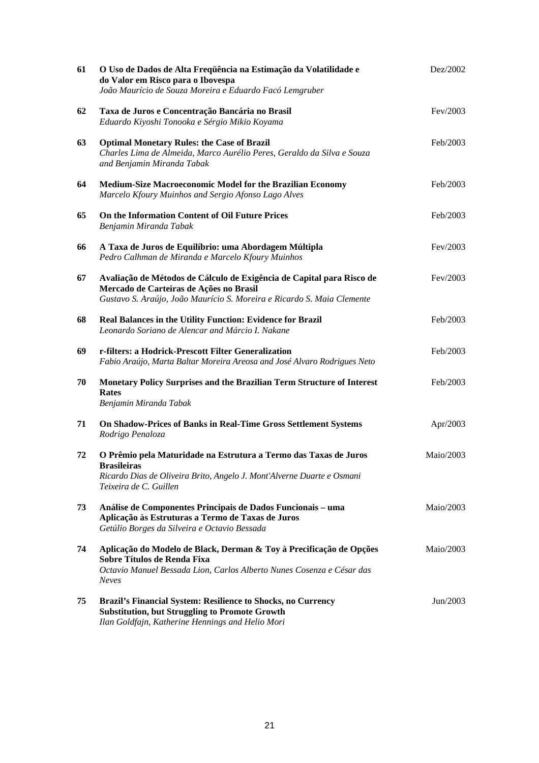| 61 | O Uso de Dados de Alta Freqüência na Estimação da Volatilidade e<br>do Valor em Risco para o Ibovespa<br>João Maurício de Souza Moreira e Eduardo Facó Lemgruber                            | Dez/2002  |
|----|---------------------------------------------------------------------------------------------------------------------------------------------------------------------------------------------|-----------|
| 62 | Taxa de Juros e Concentração Bancária no Brasil<br>Eduardo Kiyoshi Tonooka e Sérgio Mikio Koyama                                                                                            | Fev/2003  |
| 63 | <b>Optimal Monetary Rules: the Case of Brazil</b><br>Charles Lima de Almeida, Marco Aurélio Peres, Geraldo da Silva e Souza<br>and Benjamin Miranda Tabak                                   | Feb/2003  |
| 64 | Medium-Size Macroeconomic Model for the Brazilian Economy<br>Marcelo Kfoury Muinhos and Sergio Afonso Lago Alves                                                                            | Feb/2003  |
| 65 | On the Information Content of Oil Future Prices<br>Benjamin Miranda Tabak                                                                                                                   | Feb/2003  |
| 66 | A Taxa de Juros de Equilíbrio: uma Abordagem Múltipla<br>Pedro Calhman de Miranda e Marcelo Kfoury Muinhos                                                                                  | Fev/2003  |
| 67 | Avaliação de Métodos de Cálculo de Exigência de Capital para Risco de<br>Mercado de Carteiras de Ações no Brasil<br>Gustavo S. Araújo, João Maurício S. Moreira e Ricardo S. Maia Clemente  | Fev/2003  |
| 68 | Real Balances in the Utility Function: Evidence for Brazil<br>Leonardo Soriano de Alencar and Márcio I. Nakane                                                                              | Feb/2003  |
| 69 | r-filters: a Hodrick-Prescott Filter Generalization<br>Fabio Araújo, Marta Baltar Moreira Areosa and José Alvaro Rodrigues Neto                                                             | Feb/2003  |
| 70 | Monetary Policy Surprises and the Brazilian Term Structure of Interest<br><b>Rates</b><br>Benjamin Miranda Tabak                                                                            | Feb/2003  |
| 71 | On Shadow-Prices of Banks in Real-Time Gross Settlement Systems<br>Rodrigo Penaloza                                                                                                         | Apr/2003  |
| 72 | O Prêmio pela Maturidade na Estrutura a Termo das Taxas de Juros<br><b>Brasileiras</b><br>Ricardo Dias de Oliveira Brito, Angelo J. Mont'Alverne Duarte e Osmani<br>Teixeira de C. Guillen  | Maio/2003 |
| 73 | Análise de Componentes Principais de Dados Funcionais - uma<br>Aplicação às Estruturas a Termo de Taxas de Juros<br>Getúlio Borges da Silveira e Octavio Bessada                            | Maio/2003 |
| 74 | Aplicação do Modelo de Black, Derman & Toy à Precificação de Opções<br>Sobre Títulos de Renda Fixa<br>Octavio Manuel Bessada Lion, Carlos Alberto Nunes Cosenza e César das<br><b>Neves</b> | Maio/2003 |
| 75 | Brazil's Financial System: Resilience to Shocks, no Currency<br><b>Substitution, but Struggling to Promote Growth</b><br>Ilan Goldfajn, Katherine Hennings and Helio Mori                   | Jun/2003  |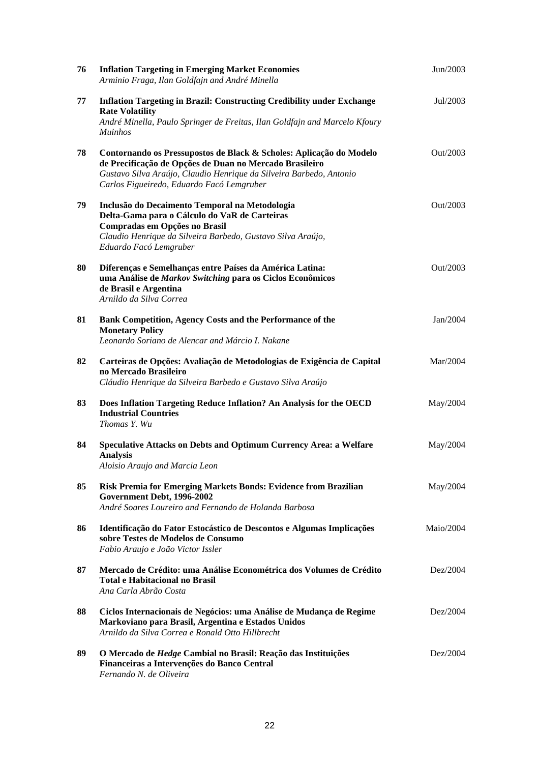| 76 | <b>Inflation Targeting in Emerging Market Economies</b><br>Arminio Fraga, Ilan Goldfajn and André Minella                                                                                                                                          | Jun/2003  |
|----|----------------------------------------------------------------------------------------------------------------------------------------------------------------------------------------------------------------------------------------------------|-----------|
| 77 | <b>Inflation Targeting in Brazil: Constructing Credibility under Exchange</b><br><b>Rate Volatility</b><br>André Minella, Paulo Springer de Freitas, Ilan Goldfajn and Marcelo Kfoury<br><b>Muinhos</b>                                            | Jul/2003  |
| 78 | Contornando os Pressupostos de Black & Scholes: Aplicação do Modelo<br>de Precificação de Opções de Duan no Mercado Brasileiro<br>Gustavo Silva Araújo, Claudio Henrique da Silveira Barbedo, Antonio<br>Carlos Figueiredo, Eduardo Facó Lemgruber | Out/2003  |
| 79 | Inclusão do Decaimento Temporal na Metodologia<br>Delta-Gama para o Cálculo do VaR de Carteiras<br>Compradas em Opções no Brasil<br>Claudio Henrique da Silveira Barbedo, Gustavo Silva Araújo,<br>Eduardo Facó Lemgruber                          | Out/2003  |
| 80 | Diferenças e Semelhanças entre Países da América Latina:<br>uma Análise de Markov Switching para os Ciclos Econômicos<br>de Brasil e Argentina<br>Arnildo da Silva Correa                                                                          | Out/2003  |
| 81 | Bank Competition, Agency Costs and the Performance of the<br><b>Monetary Policy</b><br>Leonardo Soriano de Alencar and Márcio I. Nakane                                                                                                            | Jan/2004  |
| 82 | Carteiras de Opções: Avaliação de Metodologias de Exigência de Capital<br>no Mercado Brasileiro<br>Cláudio Henrique da Silveira Barbedo e Gustavo Silva Araújo                                                                                     | Mar/2004  |
| 83 | Does Inflation Targeting Reduce Inflation? An Analysis for the OECD<br><b>Industrial Countries</b><br>Thomas Y. Wu                                                                                                                                 | May/2004  |
| 84 | Speculative Attacks on Debts and Optimum Currency Area: a Welfare<br><b>Analysis</b><br>Aloisio Araujo and Marcia Leon                                                                                                                             | May/2004  |
| 85 | Risk Premia for Emerging Markets Bonds: Evidence from Brazilian<br>Government Debt, 1996-2002<br>André Soares Loureiro and Fernando de Holanda Barbosa                                                                                             | May/2004  |
| 86 | Identificação do Fator Estocástico de Descontos e Algumas Implicações<br>sobre Testes de Modelos de Consumo<br>Fabio Araujo e João Victor Issler                                                                                                   | Maio/2004 |
| 87 | Mercado de Crédito: uma Análise Econométrica dos Volumes de Crédito<br><b>Total e Habitacional no Brasil</b><br>Ana Carla Abrão Costa                                                                                                              | Dez/2004  |
| 88 | Ciclos Internacionais de Negócios: uma Análise de Mudança de Regime<br>Markoviano para Brasil, Argentina e Estados Unidos<br>Arnildo da Silva Correa e Ronald Otto Hillbrecht                                                                      | Dez/2004  |
| 89 | O Mercado de Hedge Cambial no Brasil: Reação das Instituições<br>Financeiras a Intervenções do Banco Central<br>Fernando N. de Oliveira                                                                                                            | Dez/2004  |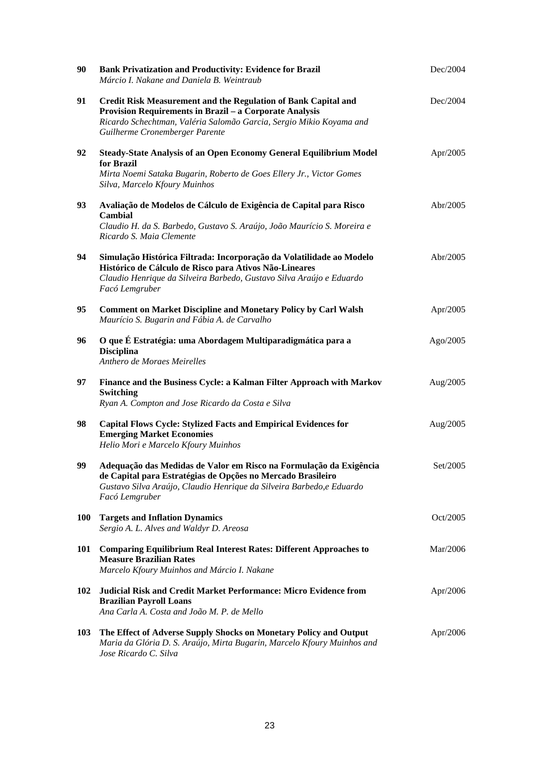| 90         | <b>Bank Privatization and Productivity: Evidence for Brazil</b><br>Márcio I. Nakane and Daniela B. Weintraub                                                                                                                              | Dec/2004 |
|------------|-------------------------------------------------------------------------------------------------------------------------------------------------------------------------------------------------------------------------------------------|----------|
| 91         | Credit Risk Measurement and the Regulation of Bank Capital and<br><b>Provision Requirements in Brazil - a Corporate Analysis</b><br>Ricardo Schechtman, Valéria Salomão Garcia, Sergio Mikio Koyama and<br>Guilherme Cronemberger Parente | Dec/2004 |
| 92         | <b>Steady-State Analysis of an Open Economy General Equilibrium Model</b><br>for Brazil<br>Mirta Noemi Sataka Bugarin, Roberto de Goes Ellery Jr., Victor Gomes<br>Silva, Marcelo Kfoury Muinhos                                          | Apr/2005 |
| 93         | Avaliação de Modelos de Cálculo de Exigência de Capital para Risco<br>Cambial<br>Claudio H. da S. Barbedo, Gustavo S. Araújo, João Maurício S. Moreira e<br>Ricardo S. Maia Clemente                                                      | Abr/2005 |
| 94         | Simulação Histórica Filtrada: Incorporação da Volatilidade ao Modelo<br>Histórico de Cálculo de Risco para Ativos Não-Lineares<br>Claudio Henrique da Silveira Barbedo, Gustavo Silva Araújo e Eduardo<br>Facó Lemgruber                  | Abr/2005 |
| 95         | <b>Comment on Market Discipline and Monetary Policy by Carl Walsh</b><br>Maurício S. Bugarin and Fábia A. de Carvalho                                                                                                                     | Apr/2005 |
| 96         | O que É Estratégia: uma Abordagem Multiparadigmática para a<br><b>Disciplina</b><br>Anthero de Moraes Meirelles                                                                                                                           | Ago/2005 |
| 97         | Finance and the Business Cycle: a Kalman Filter Approach with Markov<br><b>Switching</b><br>Ryan A. Compton and Jose Ricardo da Costa e Silva                                                                                             | Aug/2005 |
| 98         | <b>Capital Flows Cycle: Stylized Facts and Empirical Evidences for</b><br><b>Emerging Market Economies</b><br>Helio Mori e Marcelo Kfoury Muinhos                                                                                         | Aug/2005 |
| 99         | Adequação das Medidas de Valor em Risco na Formulação da Exigência<br>de Capital para Estratégias de Opções no Mercado Brasileiro<br>Gustavo Silva Araújo, Claudio Henrique da Silveira Barbedo, e Eduardo<br>Facó Lemgruber              | Set/2005 |
| <b>100</b> | <b>Targets and Inflation Dynamics</b><br>Sergio A. L. Alves and Waldyr D. Areosa                                                                                                                                                          | Oct/2005 |
| 101        | <b>Comparing Equilibrium Real Interest Rates: Different Approaches to</b><br><b>Measure Brazilian Rates</b><br>Marcelo Kfoury Muinhos and Márcio I. Nakane                                                                                | Mar/2006 |
| 102        | Judicial Risk and Credit Market Performance: Micro Evidence from<br><b>Brazilian Payroll Loans</b><br>Ana Carla A. Costa and João M. P. de Mello                                                                                          | Apr/2006 |
| 103        | The Effect of Adverse Supply Shocks on Monetary Policy and Output<br>Maria da Glória D. S. Araújo, Mirta Bugarin, Marcelo Kfoury Muinhos and<br>Jose Ricardo C. Silva                                                                     | Apr/2006 |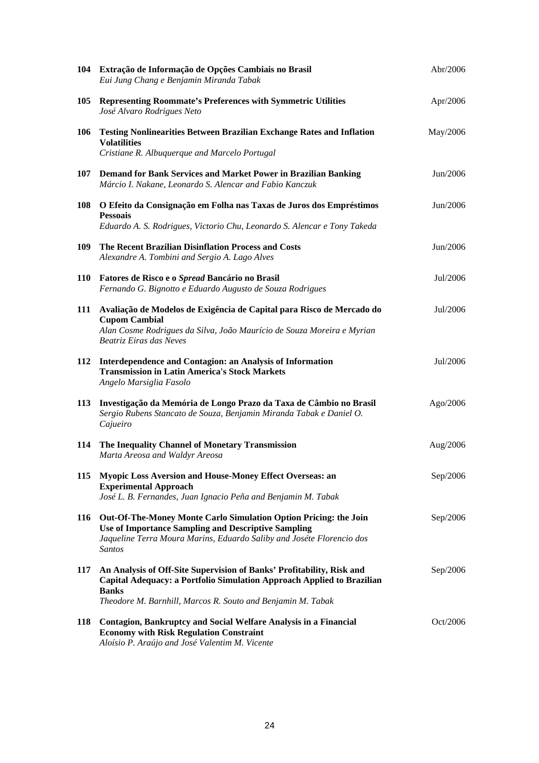|            | 104 Extração de Informação de Opções Cambiais no Brasil<br>Eui Jung Chang e Benjamin Miranda Tabak                                                                                                                             | Abr/2006 |
|------------|--------------------------------------------------------------------------------------------------------------------------------------------------------------------------------------------------------------------------------|----------|
| 105        | Representing Roommate's Preferences with Symmetric Utilities<br>José Alvaro Rodrigues Neto                                                                                                                                     | Apr/2006 |
| <b>106</b> | <b>Testing Nonlinearities Between Brazilian Exchange Rates and Inflation</b><br><b>Volatilities</b><br>Cristiane R. Albuquerque and Marcelo Portugal                                                                           | May/2006 |
| 107        | Demand for Bank Services and Market Power in Brazilian Banking<br>Márcio I. Nakane, Leonardo S. Alencar and Fabio Kanczuk                                                                                                      | Jun/2006 |
| <b>108</b> | O Efeito da Consignação em Folha nas Taxas de Juros dos Empréstimos<br><b>Pessoais</b><br>Eduardo A. S. Rodrigues, Victorio Chu, Leonardo S. Alencar e Tony Takeda                                                             | Jun/2006 |
| 109        | The Recent Brazilian Disinflation Process and Costs<br>Alexandre A. Tombini and Sergio A. Lago Alves                                                                                                                           | Jun/2006 |
| <b>110</b> | Fatores de Risco e o Spread Bancário no Brasil<br>Fernando G. Bignotto e Eduardo Augusto de Souza Rodrigues                                                                                                                    | Jul/2006 |
| 111        | Avaliação de Modelos de Exigência de Capital para Risco de Mercado do<br><b>Cupom Cambial</b><br>Alan Cosme Rodrigues da Silva, João Maurício de Souza Moreira e Myrian<br>Beatriz Eiras das Neves                             | Jul/2006 |
| 112        | Interdependence and Contagion: an Analysis of Information<br><b>Transmission in Latin America's Stock Markets</b><br>Angelo Marsiglia Fasolo                                                                                   | Jul/2006 |
| 113        | Investigação da Memória de Longo Prazo da Taxa de Câmbio no Brasil<br>Sergio Rubens Stancato de Souza, Benjamin Miranda Tabak e Daniel O.<br>Cajueiro                                                                          | Ago/2006 |
| 114        | The Inequality Channel of Monetary Transmission<br>Marta Areosa and Waldyr Areosa                                                                                                                                              | Aug/2006 |
| 115        | Myopic Loss Aversion and House-Money Effect Overseas: an<br><b>Experimental Approach</b><br>José L. B. Fernandes, Juan Ignacio Peña and Benjamin M. Tabak                                                                      | Sep/2006 |
| 116        | Out-Of-The-Money Monte Carlo Simulation Option Pricing: the Join<br><b>Use of Importance Sampling and Descriptive Sampling</b><br>Jaqueline Terra Moura Marins, Eduardo Saliby and Joséte Florencio dos<br><b>Santos</b>       | Sep/2006 |
| 117        | An Analysis of Off-Site Supervision of Banks' Profitability, Risk and<br>Capital Adequacy: a Portfolio Simulation Approach Applied to Brazilian<br><b>Banks</b><br>Theodore M. Barnhill, Marcos R. Souto and Benjamin M. Tabak | Sep/2006 |
| 118        | Contagion, Bankruptcy and Social Welfare Analysis in a Financial<br><b>Economy with Risk Regulation Constraint</b><br>Aloísio P. Araújo and José Valentim M. Vicente                                                           | Oct/2006 |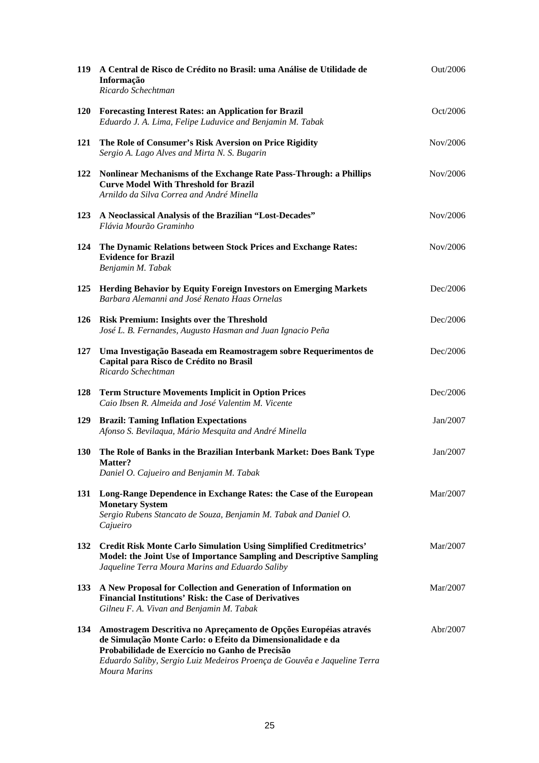| 119        | A Central de Risco de Crédito no Brasil: uma Análise de Utilidade de<br>Informação<br>Ricardo Schechtman                                                                                                                                                                              | Out/2006 |
|------------|---------------------------------------------------------------------------------------------------------------------------------------------------------------------------------------------------------------------------------------------------------------------------------------|----------|
| <b>120</b> | <b>Forecasting Interest Rates: an Application for Brazil</b><br>Eduardo J. A. Lima, Felipe Luduvice and Benjamin M. Tabak                                                                                                                                                             | Oct/2006 |
| 121        | The Role of Consumer's Risk Aversion on Price Rigidity<br>Sergio A. Lago Alves and Mirta N. S. Bugarin                                                                                                                                                                                | Nov/2006 |
| 122        | Nonlinear Mechanisms of the Exchange Rate Pass-Through: a Phillips<br><b>Curve Model With Threshold for Brazil</b><br>Arnildo da Silva Correa and André Minella                                                                                                                       | Nov/2006 |
| 123        | A Neoclassical Analysis of the Brazilian "Lost-Decades"<br>Flávia Mourão Graminho                                                                                                                                                                                                     | Nov/2006 |
| 124        | The Dynamic Relations between Stock Prices and Exchange Rates:<br><b>Evidence for Brazil</b><br>Benjamin M. Tabak                                                                                                                                                                     | Nov/2006 |
| 125        | <b>Herding Behavior by Equity Foreign Investors on Emerging Markets</b><br>Barbara Alemanni and José Renato Haas Ornelas                                                                                                                                                              | Dec/2006 |
| 126        | <b>Risk Premium: Insights over the Threshold</b><br>José L. B. Fernandes, Augusto Hasman and Juan Ignacio Peña                                                                                                                                                                        | Dec/2006 |
| 127        | Uma Investigação Baseada em Reamostragem sobre Requerimentos de<br>Capital para Risco de Crédito no Brasil<br>Ricardo Schechtman                                                                                                                                                      | Dec/2006 |
| 128        | <b>Term Structure Movements Implicit in Option Prices</b><br>Caio Ibsen R. Almeida and José Valentim M. Vicente                                                                                                                                                                       | Dec/2006 |
| 129        | <b>Brazil: Taming Inflation Expectations</b><br>Afonso S. Bevilaqua, Mário Mesquita and André Minella                                                                                                                                                                                 | Jan/2007 |
| <b>130</b> | The Role of Banks in the Brazilian Interbank Market: Does Bank Type<br>Matter?<br>Daniel O. Cajueiro and Benjamin M. Tabak                                                                                                                                                            | Jan/2007 |
| 131        | Long-Range Dependence in Exchange Rates: the Case of the European<br><b>Monetary System</b><br>Sergio Rubens Stancato de Souza, Benjamin M. Tabak and Daniel O.<br>Cajueiro                                                                                                           | Mar/2007 |
| 132        | <b>Credit Risk Monte Carlo Simulation Using Simplified Creditmetrics'</b><br>Model: the Joint Use of Importance Sampling and Descriptive Sampling<br>Jaqueline Terra Moura Marins and Eduardo Saliby                                                                                  | Mar/2007 |
| 133        | A New Proposal for Collection and Generation of Information on<br><b>Financial Institutions' Risk: the Case of Derivatives</b><br>Gilneu F. A. Vivan and Benjamin M. Tabak                                                                                                            | Mar/2007 |
| 134        | Amostragem Descritiva no Apreçamento de Opções Européias através<br>de Simulação Monte Carlo: o Efeito da Dimensionalidade e da<br>Probabilidade de Exercício no Ganho de Precisão<br>Eduardo Saliby, Sergio Luiz Medeiros Proença de Gouvêa e Jaqueline Terra<br><b>Moura Marins</b> | Abr/2007 |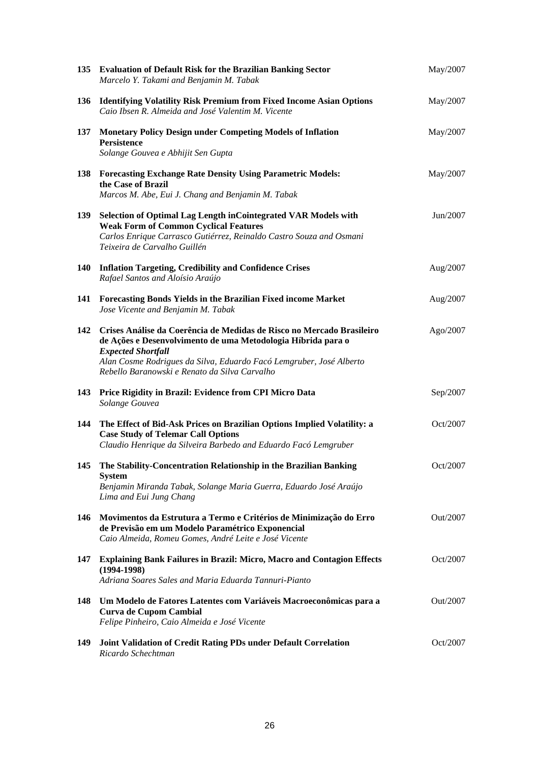|            | 135 Evaluation of Default Risk for the Brazilian Banking Sector<br>Marcelo Y. Takami and Benjamin M. Tabak                                                                                                                                                                                 | May/2007 |
|------------|--------------------------------------------------------------------------------------------------------------------------------------------------------------------------------------------------------------------------------------------------------------------------------------------|----------|
| 136        | <b>Identifying Volatility Risk Premium from Fixed Income Asian Options</b><br>Caio Ibsen R. Almeida and José Valentim M. Vicente                                                                                                                                                           | May/2007 |
| 137        | <b>Monetary Policy Design under Competing Models of Inflation</b><br>Persistence<br>Solange Gouvea e Abhijit Sen Gupta                                                                                                                                                                     | May/2007 |
| 138        | <b>Forecasting Exchange Rate Density Using Parametric Models:</b><br>the Case of Brazil<br>Marcos M. Abe, Eui J. Chang and Benjamin M. Tabak                                                                                                                                               | May/2007 |
| 139        | Selection of Optimal Lag Length inCointegrated VAR Models with<br><b>Weak Form of Common Cyclical Features</b><br>Carlos Enrique Carrasco Gutiérrez, Reinaldo Castro Souza and Osmani<br>Teixeira de Carvalho Guillén                                                                      | Jun/2007 |
| <b>140</b> | <b>Inflation Targeting, Credibility and Confidence Crises</b><br>Rafael Santos and Aloísio Araújo                                                                                                                                                                                          | Aug/2007 |
| 141        | Forecasting Bonds Yields in the Brazilian Fixed income Market<br>Jose Vicente and Benjamin M. Tabak                                                                                                                                                                                        | Aug/2007 |
| 142        | Crises Análise da Coerência de Medidas de Risco no Mercado Brasileiro<br>de Ações e Desenvolvimento de uma Metodologia Híbrida para o<br><b>Expected Shortfall</b><br>Alan Cosme Rodrigues da Silva, Eduardo Facó Lemgruber, José Alberto<br>Rebello Baranowski e Renato da Silva Carvalho | Ago/2007 |
| 143        | Price Rigidity in Brazil: Evidence from CPI Micro Data<br>Solange Gouvea                                                                                                                                                                                                                   | Sep/2007 |
| 144        | The Effect of Bid-Ask Prices on Brazilian Options Implied Volatility: a<br><b>Case Study of Telemar Call Options</b><br>Claudio Henrique da Silveira Barbedo and Eduardo Facó Lemgruber                                                                                                    | Oct/2007 |
| 145        | The Stability-Concentration Relationship in the Brazilian Banking<br><b>System</b><br>Benjamin Miranda Tabak, Solange Maria Guerra, Eduardo José Araújo<br>Lima and Eui Jung Chang                                                                                                         | Oct/2007 |
| 146        | Movimentos da Estrutura a Termo e Critérios de Minimização do Erro<br>de Previsão em um Modelo Paramétrico Exponencial<br>Caio Almeida, Romeu Gomes, André Leite e José Vicente                                                                                                            | Out/2007 |
| 147        | <b>Explaining Bank Failures in Brazil: Micro, Macro and Contagion Effects</b><br>$(1994-1998)$<br>Adriana Soares Sales and Maria Eduarda Tannuri-Pianto                                                                                                                                    | Oct/2007 |
| 148        | Um Modelo de Fatores Latentes com Variáveis Macroeconômicas para a<br><b>Curva de Cupom Cambial</b><br>Felipe Pinheiro, Caio Almeida e José Vicente                                                                                                                                        | Out/2007 |
| 149        | Joint Validation of Credit Rating PDs under Default Correlation<br>Ricardo Schechtman                                                                                                                                                                                                      | Oct/2007 |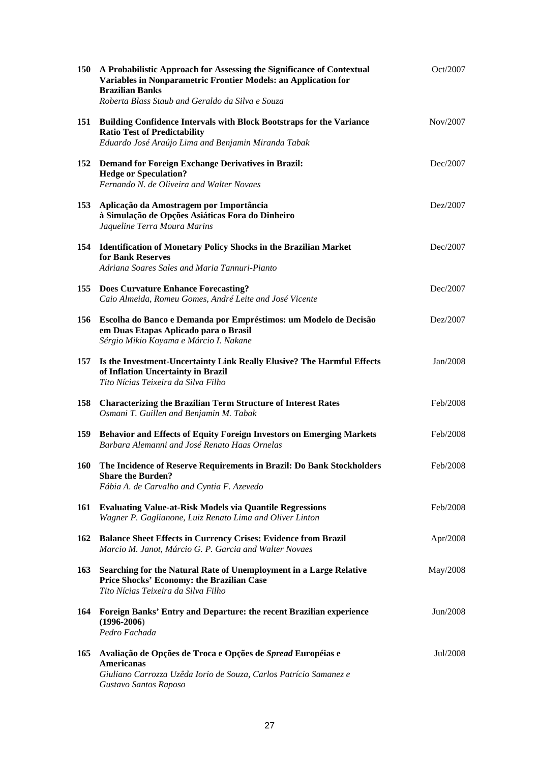| 150 | A Probabilistic Approach for Assessing the Significance of Contextual<br>Variables in Nonparametric Frontier Models: an Application for<br><b>Brazilian Banks</b><br>Roberta Blass Staub and Geraldo da Silva e Souza | Oct/2007 |
|-----|-----------------------------------------------------------------------------------------------------------------------------------------------------------------------------------------------------------------------|----------|
|     | 151 Building Confidence Intervals with Block Bootstraps for the Variance<br><b>Ratio Test of Predictability</b><br>Eduardo José Araújo Lima and Benjamin Miranda Tabak                                                | Nov/2007 |
| 152 | <b>Demand for Foreign Exchange Derivatives in Brazil:</b><br><b>Hedge or Speculation?</b><br>Fernando N. de Oliveira and Walter Novaes                                                                                | Dec/2007 |
| 153 | Aplicação da Amostragem por Importância<br>à Simulação de Opções Asiáticas Fora do Dinheiro<br>Jaqueline Terra Moura Marins                                                                                           | Dez/2007 |
| 154 | <b>Identification of Monetary Policy Shocks in the Brazilian Market</b><br>for Bank Reserves<br>Adriana Soares Sales and Maria Tannuri-Pianto                                                                         | Dec/2007 |
| 155 | <b>Does Curvature Enhance Forecasting?</b><br>Caio Almeida, Romeu Gomes, André Leite and José Vicente                                                                                                                 | Dec/2007 |
| 156 | Escolha do Banco e Demanda por Empréstimos: um Modelo de Decisão<br>em Duas Etapas Aplicado para o Brasil<br>Sérgio Mikio Koyama e Márcio I. Nakane                                                                   | Dez/2007 |
| 157 | Is the Investment-Uncertainty Link Really Elusive? The Harmful Effects<br>of Inflation Uncertainty in Brazil<br>Tito Nícias Teixeira da Silva Filho                                                                   | Jan/2008 |
| 158 | <b>Characterizing the Brazilian Term Structure of Interest Rates</b><br>Osmani T. Guillen and Benjamin M. Tabak                                                                                                       | Feb/2008 |
| 159 | Behavior and Effects of Equity Foreign Investors on Emerging Markets<br>Barbara Alemanni and José Renato Haas Ornelas                                                                                                 | Feb/2008 |
| 160 | The Incidence of Reserve Requirements in Brazil: Do Bank Stockholders<br><b>Share the Burden?</b><br>Fábia A. de Carvalho and Cyntia F. Azevedo                                                                       | Feb/2008 |
| 161 | <b>Evaluating Value-at-Risk Models via Quantile Regressions</b><br>Wagner P. Gaglianone, Luiz Renato Lima and Oliver Linton                                                                                           | Feb/2008 |
| 162 | <b>Balance Sheet Effects in Currency Crises: Evidence from Brazil</b><br>Marcio M. Janot, Márcio G. P. Garcia and Walter Novaes                                                                                       | Apr/2008 |
| 163 | Searching for the Natural Rate of Unemployment in a Large Relative<br>Price Shocks' Economy: the Brazilian Case<br>Tito Nícias Teixeira da Silva Filho                                                                | May/2008 |
| 164 | Foreign Banks' Entry and Departure: the recent Brazilian experience<br>$(1996 - 2006)$<br>Pedro Fachada                                                                                                               | Jun/2008 |
| 165 | Avaliação de Opções de Troca e Opções de Spread Européias e<br><b>Americanas</b>                                                                                                                                      | Jul/2008 |
|     | Giuliano Carrozza Uzêda Iorio de Souza, Carlos Patrício Samanez e<br>Gustavo Santos Raposo                                                                                                                            |          |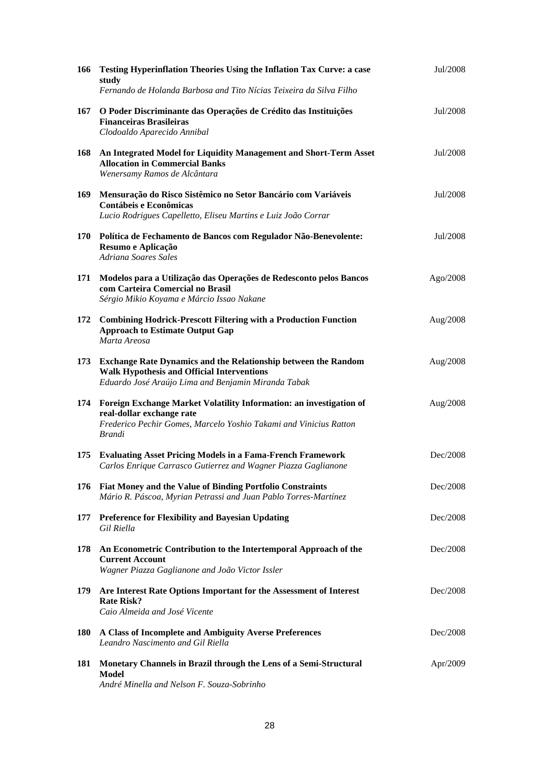| 166        | <b>Testing Hyperinflation Theories Using the Inflation Tax Curve: a case</b><br>study<br>Fernando de Holanda Barbosa and Tito Nícias Teixeira da Silva Filho                           | Jul/2008 |
|------------|----------------------------------------------------------------------------------------------------------------------------------------------------------------------------------------|----------|
| 167        | O Poder Discriminante das Operações de Crédito das Instituições<br><b>Financeiras Brasileiras</b><br>Clodoaldo Aparecido Annibal                                                       | Jul/2008 |
| 168        | An Integrated Model for Liquidity Management and Short-Term Asset<br><b>Allocation in Commercial Banks</b><br>Wenersamy Ramos de Alcântara                                             | Jul/2008 |
| 169        | Mensuração do Risco Sistêmico no Setor Bancário com Variáveis<br><b>Contábeis e Econômicas</b><br>Lucio Rodrigues Capelletto, Eliseu Martins e Luiz João Corrar                        | Jul/2008 |
|            | 170 Política de Fechamento de Bancos com Regulador Não-Benevolente:<br>Resumo e Aplicação<br>Adriana Soares Sales                                                                      | Jul/2008 |
| 171        | Modelos para a Utilização das Operações de Redesconto pelos Bancos<br>com Carteira Comercial no Brasil<br>Sérgio Mikio Koyama e Márcio Issao Nakane                                    | Ago/2008 |
| 172        | <b>Combining Hodrick-Prescott Filtering with a Production Function</b><br><b>Approach to Estimate Output Gap</b><br>Marta Areosa                                                       | Aug/2008 |
| 173        | <b>Exchange Rate Dynamics and the Relationship between the Random</b><br><b>Walk Hypothesis and Official Interventions</b><br>Eduardo José Araújo Lima and Benjamin Miranda Tabak      | Aug/2008 |
| 174        | Foreign Exchange Market Volatility Information: an investigation of<br>real-dollar exchange rate<br>Frederico Pechir Gomes, Marcelo Yoshio Takami and Vinicius Ratton<br><b>Brandi</b> | Aug/2008 |
| 175        | <b>Evaluating Asset Pricing Models in a Fama-French Framework</b><br>Carlos Enrique Carrasco Gutierrez and Wagner Piazza Gaglianone                                                    | Dec/2008 |
| 176        | Fiat Money and the Value of Binding Portfolio Constraints<br>Mário R. Páscoa, Myrian Petrassi and Juan Pablo Torres-Martínez                                                           | Dec/2008 |
| 177        | <b>Preference for Flexibility and Bayesian Updating</b><br>Gil Riella                                                                                                                  | Dec/2008 |
| 178        | An Econometric Contribution to the Intertemporal Approach of the<br><b>Current Account</b><br>Wagner Piazza Gaglianone and João Victor Issler                                          | Dec/2008 |
| 179        | Are Interest Rate Options Important for the Assessment of Interest<br><b>Rate Risk?</b><br>Caio Almeida and José Vicente                                                               | Dec/2008 |
| <b>180</b> | A Class of Incomplete and Ambiguity Averse Preferences<br>Leandro Nascimento and Gil Riella                                                                                            | Dec/2008 |
| 181        | Monetary Channels in Brazil through the Lens of a Semi-Structural<br>Model<br>André Minella and Nelson F. Souza-Sobrinho                                                               | Apr/2009 |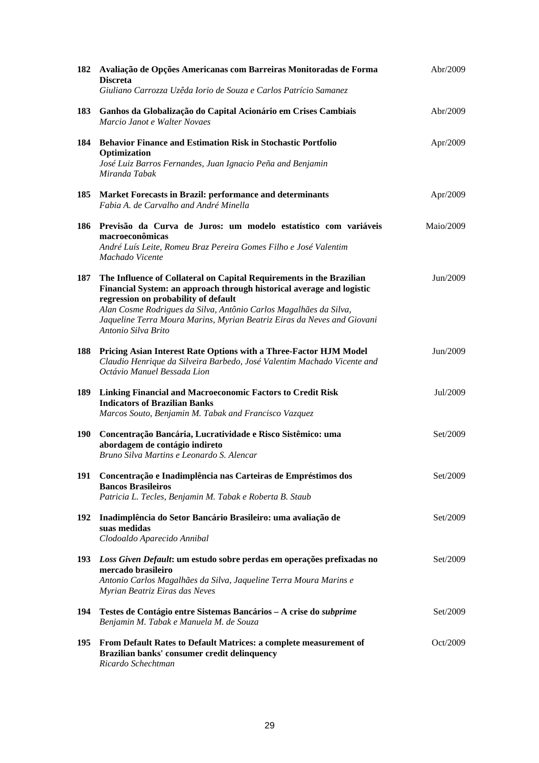| 182        | Avaliação de Opções Americanas com Barreiras Monitoradas de Forma<br><b>Discreta</b><br>Giuliano Carrozza Uzêda Iorio de Souza e Carlos Patrício Samanez                                                                                                                                                                                                     | Abr/2009  |
|------------|--------------------------------------------------------------------------------------------------------------------------------------------------------------------------------------------------------------------------------------------------------------------------------------------------------------------------------------------------------------|-----------|
| 183        | Ganhos da Globalização do Capital Acionário em Crises Cambiais<br>Marcio Janot e Walter Novaes                                                                                                                                                                                                                                                               | Abr/2009  |
| 184        | <b>Behavior Finance and Estimation Risk in Stochastic Portfolio</b><br>Optimization<br>José Luiz Barros Fernandes, Juan Ignacio Peña and Benjamin<br>Miranda Tabak                                                                                                                                                                                           | Apr/2009  |
| 185        | Market Forecasts in Brazil: performance and determinants<br>Fabia A. de Carvalho and André Minella                                                                                                                                                                                                                                                           | Apr/2009  |
| 186        | Previsão da Curva de Juros: um modelo estatístico com variáveis<br>macroeconômicas<br>André Luís Leite, Romeu Braz Pereira Gomes Filho e José Valentim<br>Machado Vicente                                                                                                                                                                                    | Maio/2009 |
| 187        | The Influence of Collateral on Capital Requirements in the Brazilian<br>Financial System: an approach through historical average and logistic<br>regression on probability of default<br>Alan Cosme Rodrigues da Silva, Antônio Carlos Magalhães da Silva,<br>Jaqueline Terra Moura Marins, Myrian Beatriz Eiras da Neves and Giovani<br>Antonio Silva Brito | Jun/2009  |
| 188        | Pricing Asian Interest Rate Options with a Three-Factor HJM Model<br>Claudio Henrique da Silveira Barbedo, José Valentim Machado Vicente and<br>Octávio Manuel Bessada Lion                                                                                                                                                                                  | Jun/2009  |
| 189        | <b>Linking Financial and Macroeconomic Factors to Credit Risk</b><br><b>Indicators of Brazilian Banks</b><br>Marcos Souto, Benjamin M. Tabak and Francisco Vazquez                                                                                                                                                                                           | Jul/2009  |
| <b>190</b> | Concentração Bancária, Lucratividade e Risco Sistêmico: uma<br>abordagem de contágio indireto<br>Bruno Silva Martins e Leonardo S. Alencar                                                                                                                                                                                                                   | Set/2009  |
| 191        | Concentração e Inadimplência nas Carteiras de Empréstimos dos<br><b>Bancos Brasileiros</b><br>Patricia L. Tecles, Benjamin M. Tabak e Roberta B. Staub                                                                                                                                                                                                       | Set/2009  |
| 192        | Inadimplência do Setor Bancário Brasileiro: uma avaliação de<br>suas medidas<br>Clodoaldo Aparecido Annibal                                                                                                                                                                                                                                                  | Set/2009  |
| <b>193</b> | Loss Given Default: um estudo sobre perdas em operações prefixadas no<br>mercado brasileiro<br>Antonio Carlos Magalhães da Silva, Jaqueline Terra Moura Marins e<br>Myrian Beatriz Eiras das Neves                                                                                                                                                           | Set/2009  |
| 194        | Testes de Contágio entre Sistemas Bancários - A crise do subprime<br>Benjamin M. Tabak e Manuela M. de Souza                                                                                                                                                                                                                                                 | Set/2009  |
| 195        | From Default Rates to Default Matrices: a complete measurement of<br>Brazilian banks' consumer credit delinquency<br>Ricardo Schechtman                                                                                                                                                                                                                      | Oct/2009  |